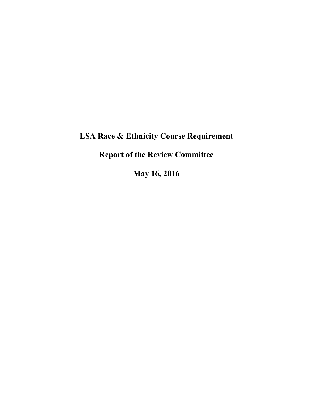# **LSA Race & Ethnicity Course Requirement**

**Report of the Review Committee**

**May 16, 2016**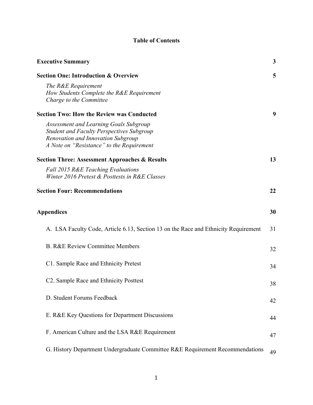# **Table of Contents**

| <b>Executive Summary</b>                                                                                                                                                      | 3  |
|-------------------------------------------------------------------------------------------------------------------------------------------------------------------------------|----|
| <b>Section One: Introduction &amp; Overview</b>                                                                                                                               | 5  |
| The R&E Requirement<br>How Students Complete the R&E Requirement<br>Charge to the Committee                                                                                   |    |
| <b>Section Two: How the Review was Conducted</b>                                                                                                                              | 9  |
| Assessment and Learning Goals Subgroup<br><b>Student and Faculty Perspectives Subgroup</b><br>Renovation and Innovation Subgroup<br>A Note on "Resistance" to the Requirement |    |
| <b>Section Three: Assessment Approaches &amp; Results</b>                                                                                                                     | 13 |
| Fall 2015 R&E Teaching Evaluations<br>Winter 2016 Pretest & Posttests in R&E Classes                                                                                          |    |
| <b>Section Four: Recommendations</b>                                                                                                                                          | 22 |
| <b>Appendices</b>                                                                                                                                                             | 30 |
| A. LSA Faculty Code, Article 6.13, Section 13 on the Race and Ethnicity Requirement                                                                                           | 31 |
| <b>B. R&amp;E Review Committee Members</b>                                                                                                                                    | 32 |
| C1. Sample Race and Ethnicity Pretest                                                                                                                                         | 34 |
| C <sub>2</sub> . Sample Race and Ethnicity Posttest                                                                                                                           | 38 |
| D. Student Forums Feedback                                                                                                                                                    | 42 |
| E. R&E Key Questions for Department Discussions                                                                                                                               | 44 |
| F. American Culture and the LSA R&E Requirement                                                                                                                               | 47 |
| G. History Department Undergraduate Committee R&E Requirement Recommendations                                                                                                 | 49 |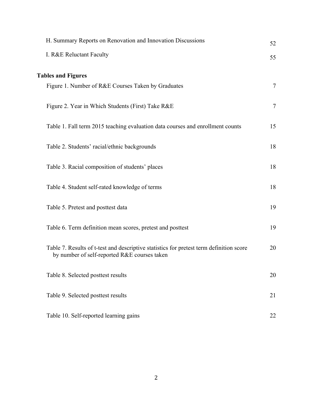| H. Summary Reports on Renovation and Innovation Discussions                                                                             | 52             |
|-----------------------------------------------------------------------------------------------------------------------------------------|----------------|
| I. R&E Reluctant Faculty                                                                                                                | 55             |
| <b>Tables and Figures</b>                                                                                                               |                |
| Figure 1. Number of R&E Courses Taken by Graduates                                                                                      | $\tau$         |
| Figure 2. Year in Which Students (First) Take R&E                                                                                       | $\overline{7}$ |
| Table 1. Fall term 2015 teaching evaluation data courses and enrollment counts                                                          | 15             |
| Table 2. Students' racial/ethnic backgrounds                                                                                            | 18             |
| Table 3. Racial composition of students' places                                                                                         | 18             |
| Table 4. Student self-rated knowledge of terms                                                                                          | 18             |
| Table 5. Pretest and posttest data                                                                                                      | 19             |
| Table 6. Term definition mean scores, pretest and posttest                                                                              | 19             |
| Table 7. Results of t-test and descriptive statistics for pretest term definition score<br>by number of self-reported R&E courses taken | 20             |
| Table 8. Selected posttest results                                                                                                      | 20             |
| Table 9. Selected posttest results                                                                                                      | 21             |
| Table 10. Self-reported learning gains                                                                                                  | 22             |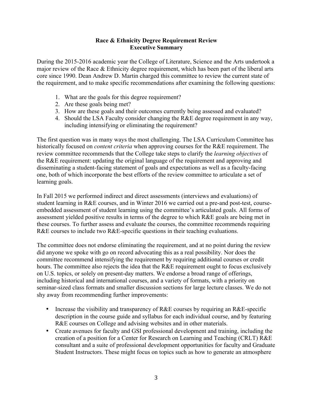#### **Race & Ethnicity Degree Requirement Review Executive Summary**

During the 2015-2016 academic year the College of Literature, Science and the Arts undertook a major review of the Race & Ethnicity degree requirement, which has been part of the liberal arts core since 1990. Dean Andrew D. Martin charged this committee to review the current state of the requirement, and to make specific recommendations after examining the following questions:

- 1. What are the goals for this degree requirement?
- 2. Are these goals being met?
- 3. How are these goals and their outcomes currently being assessed and evaluated?
- 4. Should the LSA Faculty consider changing the R&E degree requirement in any way, including intensifying or eliminating the requirement?

The first question was in many ways the most challenging. The LSA Curriculum Committee has historically focused on *content criteria* when approving courses for the R&E requirement. The review committee recommends that the College take steps to clarify the *learning objectives* of the R&E requirement: updating the original language of the requirement and approving and disseminating a student-facing statement of goals and expectations as well as a faculty-facing one, both of which incorporate the best efforts of the review committee to articulate a set of learning goals.

In Fall 2015 we performed indirect and direct assessments (interviews and evaluations) of student learning in R&E courses, and in Winter 2016 we carried out a pre-and post-test, courseembedded assessment of student learning using the committee's articulated goals. All forms of assessment yielded positive results in terms of the degree to which R&E goals are being met in these courses. To further assess and evaluate the courses, the committee recommends requiring R&E courses to include two R&E-specific questions in their teaching evaluations.

The committee does not endorse eliminating the requirement, and at no point during the review did anyone we spoke with go on record advocating this as a real possibility. Nor does the committee recommend intensifying the requirement by requiring additional courses or credit hours. The committee also rejects the idea that the R&E requirement ought to focus exclusively on U.S. topics, or solely on present-day matters. We endorse a broad range of offerings, including historical and international courses, and a variety of formats, with a priority on seminar-sized class formats and smaller discussion sections for large lecture classes. We do not shy away from recommending further improvements:

- Increase the visibility and transparency of R&E courses by requiring an R&E-specific description in the course guide and syllabus for each individual course, and by featuring R&E courses on College and advising websites and in other materials.
- Create avenues for faculty and GSI professional development and training, including the creation of a position for a Center for Research on Learning and Teaching (CRLT) R&E consultant and a suite of professional development opportunities for faculty and Graduate Student Instructors. These might focus on topics such as how to generate an atmosphere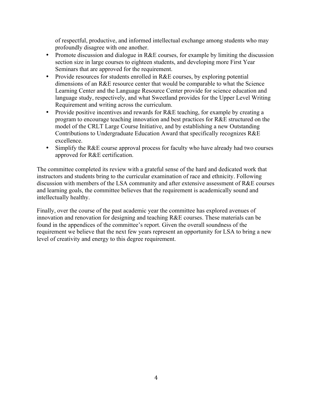of respectful, productive, and informed intellectual exchange among students who may profoundly disagree with one another.

- Promote discussion and dialogue in R&E courses, for example by limiting the discussion section size in large courses to eighteen students, and developing more First Year Seminars that are approved for the requirement.
- Provide resources for students enrolled in R&E courses, by exploring potential dimensions of an R&E resource center that would be comparable to what the Science Learning Center and the Language Resource Center provide for science education and language study, respectively, and what Sweetland provides for the Upper Level Writing Requirement and writing across the curriculum.
- Provide positive incentives and rewards for R&E teaching, for example by creating a program to encourage teaching innovation and best practices for R&E structured on the model of the CRLT Large Course Initiative, and by establishing a new Outstanding Contributions to Undergraduate Education Award that specifically recognizes R&E excellence.
- Simplify the R&E course approval process for faculty who have already had two courses approved for R&E certification.

The committee completed its review with a grateful sense of the hard and dedicated work that instructors and students bring to the curricular examination of race and ethnicity. Following discussion with members of the LSA community and after extensive assessment of R&E courses and learning goals, the committee believes that the requirement is academically sound and intellectually healthy.

Finally, over the course of the past academic year the committee has explored avenues of innovation and renovation for designing and teaching R&E courses. These materials can be found in the appendices of the committee's report. Given the overall soundness of the requirement we believe that the next few years represent an opportunity for LSA to bring a new level of creativity and energy to this degree requirement.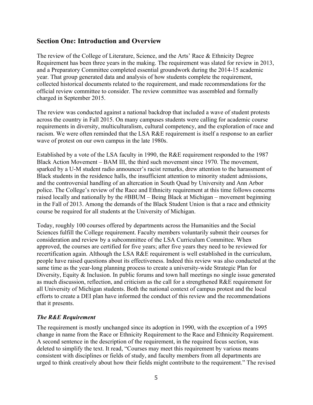# **Section One: Introduction and Overview**

The review of the College of Literature, Science, and the Arts' Race & Ethnicity Degree Requirement has been three years in the making. The requirement was slated for review in 2013, and a Preparatory Committee completed essential groundwork during the 2014-15 academic year. That group generated data and analysis of how students complete the requirement, collected historical documents related to the requirement, and made recommendations for the official review committee to consider. The review committee was assembled and formally charged in September 2015.

The review was conducted against a national backdrop that included a wave of student protests across the country in Fall 2015. On many campuses students were calling for academic course requirements in diversity, multiculturalism, cultural competency, and the exploration of race and racism. We were often reminded that the LSA R&E requirement is itself a response to an earlier wave of protest on our own campus in the late 1980s.

Established by a vote of the LSA faculty in 1990, the R&E requirement responded to the 1987 Black Action Movement – BAM III, the third such movement since 1970. The movement, sparked by a U-M student radio announcer's racist remarks, drew attention to the harassment of Black students in the residence halls, the insufficient attention to minority student admissions, and the controversial handling of an altercation in South Quad by University and Ann Arbor police. The College's review of the Race and Ethnicity requirement at this time follows concerns raised locally and nationally by the #BBUM – Being Black at Michigan – movement beginning in the Fall of 2013. Among the demands of the Black Student Union is that a race and ethnicity course be required for all students at the University of Michigan.

Today, roughly 100 courses offered by departments across the Humanities and the Social Sciences fulfill the College requirement. Faculty members voluntarily submit their courses for consideration and review by a subcommittee of the LSA Curriculum Committee. When approved, the courses are certified for five years; after five years they need to be reviewed for recertification again. Although the LSA R&E requirement is well established in the curriculum, people have raised questions about its effectiveness. Indeed this review was also conducted at the same time as the year-long planning process to create a university-wide Strategic Plan for Diversity, Equity & Inclusion. In public forums and town hall meetings no single issue generated as much discussion, reflection, and criticism as the call for a strengthened R&E requirement for all University of Michigan students. Both the national context of campus protest and the local efforts to create a DEI plan have informed the conduct of this review and the recommendations that it presents.

### *The R&E Requirement*

The requirement is mostly unchanged since its adoption in 1990, with the exception of a 1995 change in name from the Race or Ethnicity Requirement to the Race and Ethnicity Requirement. A second sentence in the description of the requirement, in the required focus section, was deleted to simplify the text. It read, "Courses may meet this requirement by various means consistent with disciplines or fields of study, and faculty members from all departments are urged to think creatively about how their fields might contribute to the requirement." The revised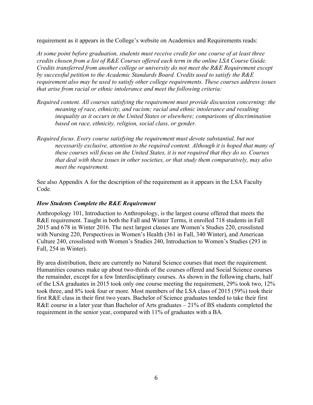requirement as it appears in the College's website on Academics and Requirements reads:

*At some point before graduation, students must receive credit for one course of at least three credits chosen from a list of R&E Courses offered each term in the online LSA Course Guide. Credits transferred from another college or university do not meet the R&E Requirement except by successful petition to the Academic Standards Board. Credits used to satisfy the R&E requirement also may be used to satisfy other college requirements. These courses address issues that arise from racial or ethnic intolerance and meet the following criteria:*

- *Required content. All courses satisfying the requirement must provide discussion concerning: the meaning of race, ethnicity, and racism; racial and ethnic intolerance and resulting inequality as it occurs in the United States or elsewhere; comparisons of discrimination based on race, ethnicity, religion, social class, or gender.*
- *Required focus. Every course satisfying the requirement must devote substantial, but not necessarily exclusive, attention to the required content. Although it is hoped that many of these courses will focus on the United States, it is not required that they do so. Courses that deal with these issues in other societies, or that study them comparatively, may also meet the requirement.*

See also Appendix A for the description of the requirement as it appears in the LSA Faculty Code.

#### *How Students Complete the R&E Requirement*

Anthropology 101, Introduction to Anthropology, is the largest course offered that meets the R&E requirement. Taught in both the Fall and Winter Terms, it enrolled 718 students in Fall 2015 and 678 in Winter 2016. The next largest classes are Women's Studies 220, crosslisted with Nursing 220, Perspectives in Women's Health (361 in Fall, 340 Winter), and American Culture 240, crosslisted with Women's Studies 240, Introduction to Women's Studies (293 in Fall, 254 in Winter).

By area distribution, there are currently no Natural Science courses that meet the requirement. Humanities courses make up about two-thirds of the courses offered and Social Science courses the remainder, except for a few Interdisciplinary courses. As shown in the following charts, half of the LSA graduates in 2015 took only one course meeting the requirement, 29% took two, 12% took three, and 8% took four or more. Most members of the LSA class of 2015 (59%) took their first R&E class in their first two years. Bachelor of Science graduates tended to take their first R&E course in a later year than Bachelor of Arts graduates – 21% of BS students completed the requirement in the senior year, compared with 11% of graduates with a BA.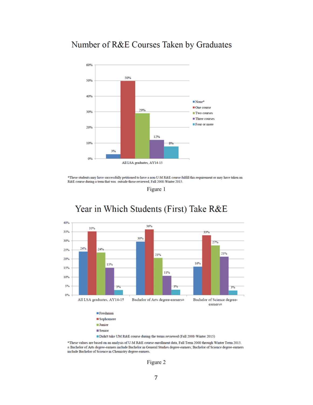# Number of R&E Courses Taken by Graduates



\*These students may have successfully petitioned to have a non-U-M R&E course fulfill this requirement or may have taken an R&E course during a term that was outside those reviewed, Fall 2008-Winter 2015.

Figure 1



# Year in Which Students (First) Take R&E

Didn't take UM R&E course during the terms reviewed (Fall 2008-Winter 2015)

\*These values are based on an analysis of U-M R&E course enrollment data, Fall Term 2008 through Winter Term 2015. ± Bachelor of Arts degree-earners include Bachelor in General Studies degree-earners; Bachelor of Science degree-earners include Bachelor of Science in Chemistry degree-earners.

Figure 2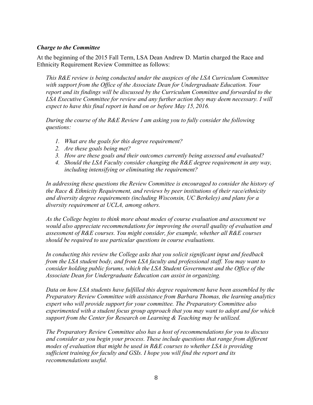#### *Charge to the Committee*

At the beginning of the 2015 Fall Term, LSA Dean Andrew D. Martin charged the Race and Ethnicity Requirement Review Committee as follows:

*This R&E review is being conducted under the auspices of the LSA Curriculum Committee with support from the Office of the Associate Dean for Undergraduate Education. Your report and its findings will be discussed by the Curriculum Committee and forwarded to the LSA Executive Committee for review and any further action they may deem necessary. I will expect to have this final report in hand on or before May 15, 2016.*

*During the course of the R&E Review I am asking you to fully consider the following questions:*

- *1. What are the goals for this degree requirement?*
- *2. Are these goals being met?*
- *3. How are these goals and their outcomes currently being assessed and evaluated?*
- *4. Should the LSA Faculty consider changing the R&E degree requirement in any way, including intensifying or eliminating the requirement?*

*In addressing these questions the Review Committee is encouraged to consider the history of the Race & Ethnicity Requirement, and reviews by peer institutions of their race/ethnicity and diversity degree requirements (including Wisconsin, UC Berkeley) and plans for a diversity requirement at UCLA, among others.*

*As the College begins to think more about modes of course evaluation and assessment we would also appreciate recommendations for improving the overall quality of evaluation and assessment of R&E courses. You might consider, for example, whether all R&E courses should be required to use particular questions in course evaluations.*

*In conducting this review the College asks that you solicit significant input and feedback from the LSA student body, and from LSA faculty and professional staff. You may want to consider holding public forums, which the LSA Student Government and the Office of the Associate Dean for Undergraduate Education can assist in organizing.*

*Data on how LSA students have fulfilled this degree requirement have been assembled by the Preparatory Review Committee with assistance from Barbara Thomas, the learning analytics expert who will provide support for your committee. The Preparatory Committee also experimented with a student focus group approach that you may want to adopt and for which support from the Center for Research on Learning & Teaching may be utilized.* 

*The Preparatory Review Committee also has a host of recommendations for you to discuss and consider as you begin your process. These include questions that range from different modes of evaluation that might be used in R&E courses to whether LSA is providing sufficient training for faculty and GSIs. I hope you will find the report and its recommendations useful.*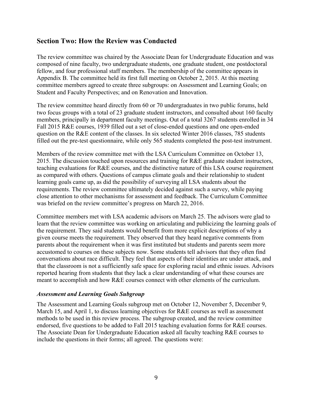# **Section Two: How the Review was Conducted**

The review committee was chaired by the Associate Dean for Undergraduate Education and was composed of nine faculty, two undergraduate students, one graduate student, one postdoctoral fellow, and four professional staff members. The membership of the committee appears in Appendix B. The committee held its first full meeting on October 2, 2015. At this meeting committee members agreed to create three subgroups: on Assessment and Learning Goals; on Student and Faculty Perspectives; and on Renovation and Innovation.

The review committee heard directly from 60 or 70 undergraduates in two public forums, held two focus groups with a total of 23 graduate student instructors, and consulted about 160 faculty members, principally in department faculty meetings. Out of a total 3267 students enrolled in 34 Fall 2015 R&E courses, 1939 filled out a set of close-ended questions and one open-ended question on the R&E content of the classes. In six selected Winter 2016 classes, 785 students filled out the pre-test questionnaire, while only 565 students completed the post-test instrument.

Members of the review committee met with the LSA Curriculum Committee on October 13, 2015. The discussion touched upon resources and training for R&E graduate student instructors, teaching evaluations for R&E courses, and the distinctive nature of this LSA course requirement as compared with others. Questions of campus climate goals and their relationship to student learning goals came up, as did the possibility of surveying all LSA students about the requirements. The review committee ultimately decided against such a survey, while paying close attention to other mechanisms for assessment and feedback. The Curriculum Committee was briefed on the review committee's progress on March 22, 2016.

Committee members met with LSA academic advisors on March 25. The advisors were glad to learn that the review committee was working on articulating and publicizing the learning goals of the requirement. They said students would benefit from more explicit descriptions of why a given course meets the requirement. They observed that they heard negative comments from parents about the requirement when it was first instituted but students and parents seem more accustomed to courses on these subjects now. Some students tell advisors that they often find conversations about race difficult. They feel that aspects of their identities are under attack, and that the classroom is not a sufficiently safe space for exploring racial and ethnic issues. Advisors reported hearing from students that they lack a clear understanding of what these courses are meant to accomplish and how R&E courses connect with other elements of the curriculum.

### *Assessment and Learning Goals Subgroup*

The Assessment and Learning Goals subgroup met on October 12, November 5, December 9, March 15, and April 1, to discuss learning objectives for R&E courses as well as assessment methods to be used in this review process. The subgroup created, and the review committee endorsed, five questions to be added to Fall 2015 teaching evaluation forms for R&E courses. The Associate Dean for Undergraduate Education asked all faculty teaching R&E courses to include the questions in their forms; all agreed. The questions were: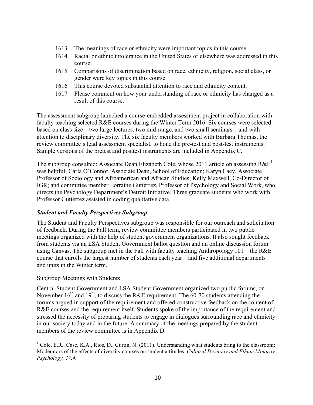- 1613 The meanings of race or ethnicity were important topics in this course.
- 1614 Racial or ethnic intolerance in the United States or elsewhere was addressed in this course.
- 1615 Comparisons of discrimination based on race, ethnicity, religion, social class, or gender were key topics in this course.
- 1616 This course devoted substantial attention to race and ethnicity content.
- 1617 Please comment on how your understanding of race or ethnicity has changed as a result of this course.

The assessment subgroup launched a course-embedded assessment project in collaboration with faculty teaching selected R&E courses during the Winter Term 2016. Six courses were selected based on class size – two large lectures, two mid-range, and two small seminars – and with attention to disciplinary diversity. The six faculty members worked with Barbara Thomas, the review committee's lead assessment specialist, to hone the pre-test and post-test instruments. Sample versions of the pretest and posttest instruments are included in Appendix C.

The subgroup consulted: Associate Dean Elizabeth Cole, whose 2011 article on assessing  $R\&E<sup>1</sup>$ was helpful; Carla O'Connor, Associate Dean, School of Education; Karyn Lacy, Associate Professor of Sociology and Afroamerican and African Studies; Kelly Maxwell, Co-Director of IGR; and committee member Lorraine Gutiérrez, Professor of Psychology and Social Work, who directs the Psychology Department's Detroit Initiative. Three graduate students who work with Professor Gutiérrez assisted in coding qualitative data.

### *Student and Faculty Perspectives Subgroup*

The Student and Faculty Perspectives subgroup was responsible for our outreach and solicitation of feedback. During the Fall term, review committee members participated in two public meetings organized with the help of student government organizations. It also sought feedback from students via an LSA Student Government ballot question and an online discussion forum using Canvas. The subgroup met in the Fall with faculty teaching Anthropology 101 – the R&E course that enrolls the largest number of students each year – and five additional departments and units in the Winter term.

### Subgroup Meetings with Students

Central Student Government and LSA Student Government organized two public forums, on November  $16<sup>th</sup>$  and  $19<sup>th</sup>$ , to discuss the R&E requirement. The 60-70 students attending the forums argued in support of the requirement and offered constructive feedback on the content of R&E courses and the requirement itself. Students spoke of the importance of the requirement and stressed the necessity of preparing students to engage in dialogues surrounding race and ethnicity in our society today and in the future. A summary of the meetings prepared by the student members of the review committee is in Appendix D.

<sup>&</sup>lt;sup>1</sup> Cole, E.R., Case, K.A., Rios, D., Curtin, N. (2011). Understanding what students bring to the classroom: Moderators of the effects of diversity courses on student attitudes. *Cultural Diversity and Ethnic Minority Psychology, 17.4.*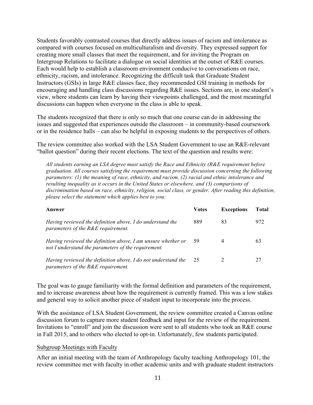Students favorably contrasted courses that directly address issues of racism and intolerance as compared with courses focused on multiculturalism and diversity. They expressed support for creating more small classes that meet the requirement, and for inviting the Program on Intergroup Relations to facilitate a dialogue on social identities at the outset of R&E courses. Each would help to establish a classroom environment conducive to conversations on race, ethnicity, racism, and intolerance. Recognizing the difficult task that Graduate Student Instructors (GSIs) in large R&E classes face, they recommended GSI training in methods for encouraging and handling class discussions regarding R&E issues. Sections are, in one student's view, where students can learn by having their viewpoints challenged, and the most meaningful discussions can happen when everyone in the class is able to speak.

The students recognized that there is only so much that one course can do in addressing the issues and suggested that experiences outside the classroom – in community-based coursework or in the residence halls – can also be helpful in exposing students to the perspectives of others.

The review committee also worked with the LSA Student Government to use an R&E-relevant "ballot question" during their recent elections. The text of the question and results were:

*All students earning an LSA degree must satisfy the Race and Ethnicity (R&E requirement before graduation. All courses satisfying the requirement must provide discussion concerning the following parameters: (1) the meaning of race, ethnicity, and racism, (2) racial and ethnic intolerance and resulting inequality as it occurs in the United States or elsewhere, and (3) comparisons of discrimination based on race, ethnicity, religion, social class, or gender. After reading this definition, please select the statement which applies best to you:*

| Answer                                                                                                              | <b>Votes</b> | <b>Exceptions</b> | <b>Total</b> |
|---------------------------------------------------------------------------------------------------------------------|--------------|-------------------|--------------|
| Having reviewed the definition above, I do understand the<br>parameters of the R&E requirement.                     | 889          | 83                | 972          |
| Having reviewed the definition above, I am unsure whether or<br>not I understand the parameters of the requirement. | 59           | 4                 | 63           |
| Having reviewed the definition above, I do not understand the<br>parameters of the R&E requirement.                 | 25           |                   |              |

The goal was to gauge familiarity with the formal definition and parameters of the requirement, and to increase awareness about how the requirement is currently framed. This was a low stakes and general way to solicit another piece of student input to incorporate into the process.

With the assistance of LSA Student Government, the review committee created a Canvas online discussion forum to capture more student feedback and input for the review of the requirement. Invitations to "enroll" and join the discussion were sent to all students who took an R&E course in Fall 2015, and to others who elected to opt-in. Unfortunately, few students participated.

#### Subgroup Meetings with Faculty

After an initial meeting with the team of Anthropology faculty teaching Anthropology 101, the review committee met with faculty in other academic units and with graduate student instructors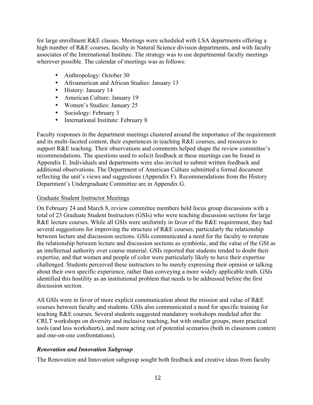for large enrollment R&E classes. Meetings were scheduled with LSA departments offering a high number of R&E courses, faculty in Natural Science division departments, and with faculty associates of the International Institute. The strategy was to use departmental faculty meetings wherever possible. The calendar of meetings was as follows:

- Anthropology: October 30
- Afroamerican and African Studies: January 13
- History: January 14
- American Culture: January 19
- Women's Studies: January 25
- Sociology: February 3
- International Institute: February 8

Faculty responses in the department meetings clustered around the importance of the requirement and its multi-faceted content, their experiences in teaching R&E courses, and resources to support R&E teaching. Their observations and comments helped shape the review committee's recommendations. The questions used to solicit feedback at these meetings can be found in Appendix E. Individuals and departments were also invited to submit written feedback and additional observations. The Department of American Culture submitted a formal document reflecting the unit's views and suggestions (Appendix F). Recommendations from the History Department's Undergraduate Committee are in Appendix G.

#### Graduate Student Instructor Meetings

On February 24 and March 8, review committee members held focus group discussions with a total of 23 Graduate Student Instructors (GSIs) who were teaching discussion sections for large R&E lecture courses. While all GSIs were uniformly in favor of the R&E requirement, they had several suggestions for improving the structure of R&E courses, particularly the relationship between lecture and discussion sections. GSIs communicated a need for the faculty to reiterate the relationship between lecture and discussion sections as symbiotic, and the value of the GSI as an intellectual authority over course material. GSIs reported that students tended to doubt their expertise, and that women and people of color were particularly likely to have their expertise challenged. Students perceived these instructors to be merely expressing their opinion or talking about their own specific experience, rather than conveying a more widely applicable truth. GSIs identified this hostility as an institutional problem that needs to be addressed before the first discussion section.

All GSIs were in favor of more explicit communication about the mission and value of R&E courses between faculty and students. GSIs also communicated a need for specific training for teaching R&E courses. Several students suggested mandatory workshops modeled after the CRLT workshops on diversity and inclusive teaching, but with smaller groups, more practical tools (and less worksheets), and more acting out of potential scenarios (both in classroom context and one-on-one confrontations).

### *Renovation and Innovation Subgroup*

The Renovation and Innovation subgroup sought both feedback and creative ideas from faculty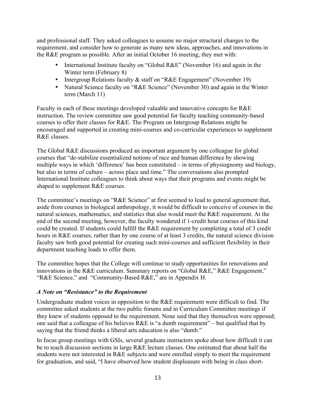and professional staff. They asked colleagues to assume no major structural changes to the requirement, and consider how to generate as many new ideas, approaches, and innovations in the R&E program as possible. After an initial October 16 meeting, they met with:

- International Institute faculty on "Global R&E" (November 16) and again in the Winter term (February 8)
- Intergroup Relations faculty & staff on "R&E Engagement" (November 19)
- Natural Science faculty on "R&E Science" (November 30) and again in the Winter term (March 11)

Faculty in each of these meetings developed valuable and innovative concepts for R&E instruction. The review committee saw good potential for faculty teaching community-based courses to offer their classes for R&E. The Program on Intergroup Relations might be encouraged and supported in creating mini-courses and co-curricular experiences to supplement R&E classes.

The Global R&E discussions produced an important argument by one colleague for global courses that "de-stabilize essentialized notions of race and human difference by showing multiple ways in which 'difference' has been constituted – in terms of physiognomy and biology, but also in terms of culture – across place and time." The conversations also prompted International Institute colleagues to think about ways that their programs and events might be shaped to supplement R&E courses.

The committee's meetings on "R&E Science" at first seemed to lead to general agreement that, aside from courses in biological anthropology, it would be difficult to conceive of courses in the natural sciences, mathematics, and statistics that also would meet the R&E requirement. At the end of the second meeting, however, the faculty wondered if 1-credit hour courses of this kind could be created. If students could fulfill the R&E requirement by completing a total of 3 credit hours in R&E courses, rather than by one course of at least 3 credits, the natural science division faculty saw both good potential for creating such mini-courses and sufficient flexibility in their department teaching loads to offer them.

The committee hopes that the College will continue to study opportunities for renovations and innovations in the R&E curriculum. Summary reports on "Global R&E," R&E Engagement," "R&E Science," and "Community-Based R&E," are in Appendix H.

### *A Note on "Resistance" to the Requirement*

Undergraduate student voices in opposition to the R&E requirement were difficult to find. The committee asked students at the two public forums and in Curriculum Committee meetings if they knew of students opposed to the requirement. None said that they themselves were opposed; one said that a colleague of his believes R&E is "a dumb requirement" – but qualified that by saying that the friend thinks a liberal arts education is also "dumb."

In focus group meetings with GSIs, several graduate instructors spoke about how difficult it can be to teach discussion sections in large R&E lecture classes. One estimated that about half the students were not interested in R&E subjects and were enrolled simply to meet the requirement for graduation, and said, "I have observed how student displeasure with being in class short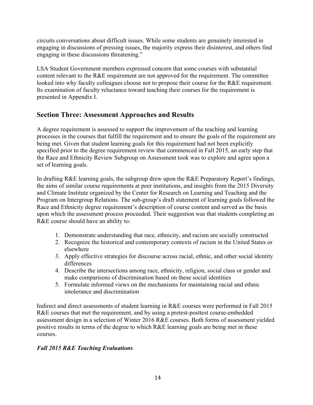circuits conversations about difficult issues. While some students are genuinely interested in engaging in discussions of pressing issues, the majority express their disinterest, and others find engaging in these discussions threatening."

LSA Student Government members expressed concern that some courses with substantial content relevant to the R&E requirement are not approved for the requirement. The committee looked into why faculty colleagues choose not to propose their course for the R&E requirement. Its examination of faculty reluctance toward teaching their courses for the requirement is presented in Appendix I.

# **Section Three: Assessment Approaches and Results**

A degree requirement is assessed to support the improvement of the teaching and learning processes in the courses that fulfill the requirement and to ensure the goals of the requirement are being met. Given that student learning goals for this requirement had not been explicitly specified prior to the degree requirement review that commenced in Fall 2015, an early step that the Race and Ethnicity Review Subgroup on Assessment took was to explore and agree upon a set of learning goals.

In drafting R&E learning goals, the subgroup drew upon the R&E Preparatory Report's findings, the aims of similar course requirements at peer institutions, and insights from the 2015 Diversity and Climate Institute organized by the Center for Research on Learning and Teaching and the Program on Intergroup Relations. The sub-group's draft statement of learning goals followed the Race and Ethnicity degree requirement's description of course content and served as the basis upon which the assessment process proceeded. Their suggestion was that students completing an R&E course should have an ability to:

- 1. Demonstrate understanding that race, ethnicity, and racism are socially constructed
- 2. Recognize the historical and contemporary contexts of racism in the United States or elsewhere
- 3. Apply effective strategies for discourse across racial, ethnic, and other social identity differences
- 4. Describe the intersections among race, ethnicity, religion, social class or gender and make comparisons of discrimination based on these social identities
- 5. Formulate informed views on the mechanisms for maintaining racial and ethnic intolerance and discrimination

Indirect and direct assessments of student learning in R&E courses were performed in Fall 2015 R&E courses that met the requirement, and by using a pretest-posttest course-embedded assessment design in a selection of Winter 2016 R&E courses. Both forms of assessment yielded positive results in terms of the degree to which R&E learning goals are being met in these courses.

# *Fall 2015 R&E Teaching Evaluations*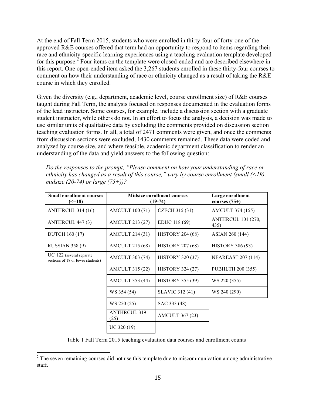At the end of Fall Term 2015, students who were enrolled in thirty-four of forty-one of the approved R&E courses offered that term had an opportunity to respond to items regarding their race and ethnicity-specific learning experiences using a teaching evaluation template developed for this purpose.<sup>2</sup> Four items on the template were closed-ended and are described elsewhere in this report. One open-ended item asked the 3,267 students enrolled in these thirty-four courses to comment on how their understanding of race or ethnicity changed as a result of taking the R&E course in which they enrolled.

Given the diversity (e.g., department, academic level, course enrollment size) of R&E courses taught during Fall Term, the analysis focused on responses documented in the evaluation forms of the lead instructor. Some courses, for example, include a discussion section with a graduate student instructor, while others do not. In an effort to focus the analysis, a decision was made to use similar units of qualitative data by excluding the comments provided on discussion section teaching evaluation forms. In all, a total of 2471 comments were given, and once the comments from discussion sections were excluded, 1430 comments remained. These data were coded and analyzed by course size, and where feasible, academic department classification to render an understanding of the data and yield answers to the following question:

*Do the responses to the prompt, "Please comment on how your understanding of race or ethnicity has changed as a result of this course," vary by course enrollment (small (<19), midsize (20-74) or large (75+))?*

| <b>Small enrollment courses</b><br>$\left( \le 18 \right)$       |                             | <b>Midsize enrollment courses</b><br>$(19-74)$ | Large enrollment<br>courses $(75+)$ |
|------------------------------------------------------------------|-----------------------------|------------------------------------------------|-------------------------------------|
| ANTHRCUL 314 (16)                                                | <b>AMCULT 100 (71)</b>      | CZECH 315 (31)                                 | <b>AMCULT 374 (155)</b>             |
| ANTHRCUL 447 (3)                                                 | AMCULT 213 (27)             | EDUC 118 (69)                                  | <b>ANTHRCUL 101 (270,</b><br>435)   |
| <b>DUTCH 160 (17)</b>                                            | <b>AMCULT 214 (31)</b>      | <b>HISTORY 204 (68)</b>                        | ASIAN 260 (144)                     |
| <b>RUSSIAN 358 (9)</b>                                           | <b>AMCULT 215 (68)</b>      | <b>HISTORY 207 (68)</b>                        | <b>HISTORY 386 (93)</b>             |
| $UC$ 122 (several separate)<br>sections of 18 or fewer students) | <b>AMCULT 303 (74)</b>      | <b>HISTORY 320 (37)</b>                        | <b>NEAREAST 207 (114)</b>           |
|                                                                  | <b>AMCULT 315 (22)</b>      | <b>HISTORY 324 (27)</b>                        | PUBHLTH 200 (355)                   |
|                                                                  | <b>AMCULT 353 (44)</b>      | <b>HISTORY 355 (39)</b>                        | WS 220 (355)                        |
|                                                                  | WS 354 (54)                 | SLAVIC 312 (41)                                | WS 240 (290)                        |
|                                                                  | WS 250 (25)                 | SAC 333 (48)                                   |                                     |
|                                                                  | <b>ANTHRCUL 319</b><br>(25) | <b>AMCULT 367 (23)</b>                         |                                     |
|                                                                  | UC 320 (19)                 |                                                |                                     |

Table 1 Fall Term 2015 teaching evaluation data courses and enrollment counts

 

 $2<sup>2</sup>$  The seven remaining courses did not use this template due to miscommunication among administrative staff.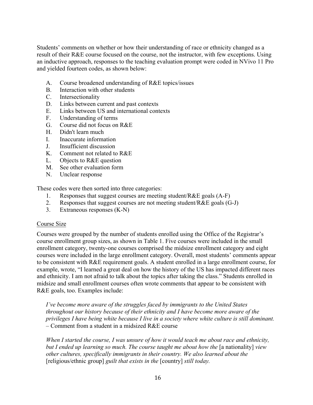Students' comments on whether or how their understanding of race or ethnicity changed as a result of their R&E course focused on the course, not the instructor, with few exceptions. Using an inductive approach, responses to the teaching evaluation prompt were coded in NVivo 11 Pro and yielded fourteen codes, as shown below:

- A. Course broadened understanding of R&E topics/issues
- B. Interaction with other students
- C. Intersectionality
- D. Links between current and past contexts
- E. Links between US and international contexts
- F. Understanding of terms
- G. Course did not focus on R&E
- H. Didn't learn much
- I. Inaccurate information
- J. Insufficient discussion
- K. Comment not related to R&E
- L. Objects to R&E question
- M. See other evaluation form
- N. Unclear response

These codes were then sorted into three categories:

- 1. Responses that suggest courses are meeting student/R&E goals (A-F)
- 2. Responses that suggest courses are not meeting student/ $R&E$  goals  $(G-J)$
- 3. Extraneous responses (K-N)

#### Course Size

Courses were grouped by the number of students enrolled using the Office of the Registrar's course enrollment group sizes, as shown in Table 1. Five courses were included in the small enrollment category, twenty-one courses comprised the midsize enrollment category and eight courses were included in the large enrollment category. Overall, most students' comments appear to be consistent with R&E requirement goals. A student enrolled in a large enrollment course, for example, wrote, "I learned a great deal on how the history of the US has impacted different races and ethnicity. I am not afraid to talk about the topics after taking the class." Students enrolled in midsize and small enrollment courses often wrote comments that appear to be consistent with R&E goals, too. Examples include:

*I've become more aware of the struggles faced by immigrants to the United States throughout our history because of their ethnicity and I have become more aware of the privileges I have being white because I live in a society where white culture is still dominant.* – Comment from a student in a midsized R&E course

*When I started the course, I was unsure of how it would teach me about race and ethnicity, but I ended up learning so much. The course taught me about how the* [a nationality] *view other cultures, specifically immigrants in their country. We also learned about the*  [religious/ethnic group] *guilt that exists in the* [country] *still today.*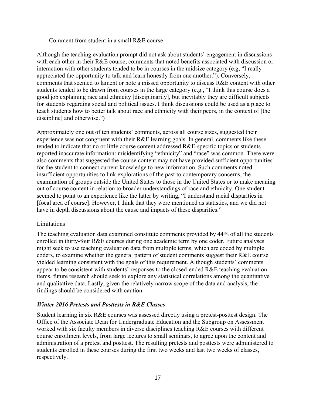#### –Comment from student in a small R&E course

Although the teaching evaluation prompt did not ask about students' engagement in discussions with each other in their R&E course, comments that noted benefits associated with discussion or interaction with other students tended to be in courses in the midsize category (e.g, "I really appreciated the opportunity to talk and learn honestly from one another."). Conversely, comments that seemed to lament or note a missed opportunity to discuss R&E content with other students tended to be drawn from courses in the large category (e.g., "I think this course does a good job explaining race and ethnicity [disciplinarily], but inevitably they are difficult subjects for students regarding social and political issues. I think discussions could be used as a place to teach students how to better talk about race and ethnicity with their peers, in the context of [the discipline] and otherwise.")

Approximately one out of ten students' comments, across all course sizes, suggested their experience was not congruent with their R&E learning goals. In general, comments like these tended to indicate that no or little course content addressed R&E-specific topics or students reported inaccurate information: misidentifying "ethnicity" and "race" was common. There were also comments that suggested the course content may not have provided sufficient opportunities for the student to connect current knowledge to new information. Such comments noted insufficient opportunities to link explorations of the past to contemporary concerns, the examination of groups outside the United States to those in the United States or to make meaning out of course content in relation to broader understandings of race and ethnicity. One student seemed to point to an experience like the latter by writing, "I understand racial disparities in [focal area of course]. However, I think that they were mentioned as statistics, and we did not have in depth discussions about the cause and impacts of these disparities."

#### Limitations

The teaching evaluation data examined constitute comments provided by 44% of all the students enrolled in thirty-four R&E courses during one academic term by one coder. Future analyses might seek to use teaching evaluation data from multiple terms, which are coded by multiple coders, to examine whether the general pattern of student comments suggest their R&E course yielded learning consistent with the goals of this requirement. Although students' comments appear to be consistent with students' responses to the closed-ended R&E teaching evaluation items, future research should seek to explore any statistical correlations among the quantitative and qualitative data. Lastly, given the relatively narrow scope of the data and analysis, the findings should be considered with caution.

### *Winter 2016 Pretests and Posttests in R&E Classes*

Student learning in six R&E courses was assessed directly using a pretest-posttest design. The Office of the Associate Dean for Undergraduate Education and the Subgroup on Assessment worked with six faculty members in diverse disciplines teaching R&E courses with different course enrollment levels, from large lectures to small seminars, to agree upon the content and administration of a pretest and posttest. The resulting pretests and posttests were administered to students enrolled in these courses during the first two weeks and last two weeks of classes, respectively.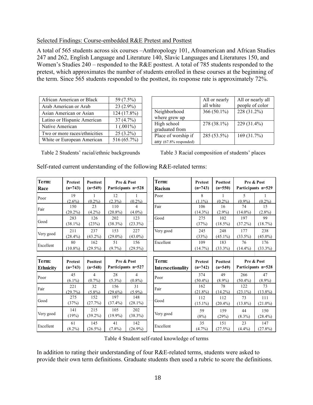#### Selected Findings: Course-embedded R&E Pretest and Posttest

A total of 565 students across six courses –Anthropology 101, Afroamerican and African Studies 247 and 262, English Language and Literature 140, Slavic Languages and Literatures 150, and Women's Studies 240 – responded to the R&E posttest. A total of 785 students responded to the pretest, which approximates the number of students enrolled in these courses at the beginning of the term. Since 565 students responded to the posttest, its response rate is approximately 72%.

| African American or Black     | 59 (7.5%)   |
|-------------------------------|-------------|
| Arab American or Arab         | $23(2.9\%)$ |
| Asian American or Asian       | 124 (17.8%) |
| Latino or Hispanic American   | 37(4.7%)    |
| Native American               | $1(.001\%)$ |
| Two or more races/ethnicities | $25(3.2\%)$ |
| White or European American    | 516 (65.7%) |

|                          | All or nearly<br>all white | All or nearly all<br>people of color |
|--------------------------|----------------------------|--------------------------------------|
| Neighborhood             | 366 $(50.1\%)$             | 228 (31.2%)                          |
| where grew up            |                            |                                      |
| High school              | 278 (38.1%)                | 229 (31.4%)                          |
| graduated from           |                            |                                      |
| Place of worship if      | 285 (53.5%)                | 169 (31.7%)                          |
| any $(67.8\%$ responded) |                            |                                      |

Table 2 Students' racial/ethnic backgrounds Table 3 Racial composition of students' places

Self-rated current understanding of the following R&E-related terms:

| Term:<br>Race             | <b>Pretest</b><br>$(n=743)$ | <b>Posttest</b><br>$(n=549)$ |                                  | Pre & Post<br>Participants n=528 | Term:<br>Racism | Pretest<br>$(n=743)$ | <b>Posttest</b><br>$(n=550)$ |                                          | Pre & Post<br>Participants n=529 |  |                                  |
|---------------------------|-----------------------------|------------------------------|----------------------------------|----------------------------------|-----------------|----------------------|------------------------------|------------------------------------------|----------------------------------|--|----------------------------------|
| Poor                      | 19<br>$(2.6\%)$             | 1<br>$(0.2\%)$               | 12<br>$(2.3\%)$                  | $(0.2\%)$                        | Poor            | 8<br>$(1.1\%)$       | 1<br>$(0.2\%)$               | $\mathcal{L}_{\mathcal{L}}$<br>$(0.9\%)$ | 1<br>$(0.2\%)$                   |  |                                  |
| Fair                      | 150<br>$(20.2\%)$           | 23<br>$(4.2\%)$              | 110<br>$(20.8\%)$                | 4<br>$(4.0\%)$                   | Fair            | 106<br>$(14.3\%)$    | 16<br>$(2.9\%)$              | 74<br>$(14.0\%)$                         | 15<br>$(2.8\%)$                  |  |                                  |
| Good                      | 283<br>$(38.1\%)$           | 126<br>(23%)                 | 202<br>(38.3%)                   | 123<br>$(23.3\%)$                | Good            | 275<br>(37%)         | 102<br>$(18.5\%)$            | 197<br>$(37.2\%)$                        | 99<br>(18.7%)                    |  |                                  |
| Very good                 | 211<br>$(28.4\%)$           | 237<br>$(43.2\%)$            | 153<br>$(29.0\%)$                | 227<br>$(43.0\%)$                | Very good       | 245<br>(33%)         | 248<br>$(45.1\%)$            | 177<br>$(33.5\%)$                        | 238<br>$(45.0\%)$                |  |                                  |
| Excellent                 | 80<br>$(10.8\%)$            | 162<br>$(29.5\%)$            | 51<br>$(9.7\%)$                  | 156<br>$(29.5\%)$                | Excellent       | 109<br>(14.7%)       | 183<br>$(33.3\%)$            | 76<br>$(14.4\%)$                         | 176<br>$(33.3\%)$                |  |                                  |
|                           |                             |                              |                                  |                                  |                 |                      |                              |                                          |                                  |  |                                  |
| Term:<br><b>Ethnicity</b> | <b>Pretest</b><br>$(n=743)$ | <b>Posttest</b><br>$(n=548)$ | Pre & Post<br>Participants n=527 |                                  |                 |                      | Term:<br>Intersectionality   | <b>Pretest</b><br>$(n=742)$              | <b>Posttest</b><br>$(n=549)$     |  | Pre & Post<br>Participants n=528 |
| Poor                      | 45<br>$(6.1\%)$             | 4<br>$(0.7\%)$               | 28<br>$(5.3\%)$                  | 4<br>$(0.8\%)$                   | Poor            | 374<br>$(50.4\%)$    | 49<br>$(8.9\%)$              | 266<br>$(50.4\%)$                        | 47<br>$(8.9\%)$                  |  |                                  |
| Fair                      | 221<br>(29.7%)              | 32<br>$(5.8\%)$              | 156<br>$(29.6\%)$                | 31<br>$(5.9\%)$                  | Fair            | 162<br>$(21.8\%)$    | 78<br>$(14.2\%)$             | 122<br>$(23.1\%)$                        | 73<br>$(13.8\%)$                 |  |                                  |
| Good                      | 275<br>(37%)                | 152<br>(27.7%)               | 197<br>$(37.4\%)$                | 148<br>$(28.1\%)$                | Good            | 112<br>$(15.1\%)$    | 112<br>$(20.4\%)$            | 73<br>$(13.8\%)$                         | 111<br>$(21.0\%)$                |  |                                  |
| Very good                 | 141<br>(19%)                | 215<br>$(39.2\%)$            | 105<br>$(19.9\%)$                | 202<br>$(38.3\%)$                | Very good       | 59<br>(8%)           | 159<br>(29%)                 | 44<br>$(8.3\%)$                          | 150<br>$(28.4\%)$                |  |                                  |
| Excellent                 | 61<br>$(8.2\%)$             | 145<br>$(26.5\%)$            | 41<br>$(7.8\%)$                  | 142<br>$(26.9\%)$                | Excellent       | 35<br>$(4.7\%)$      | 151<br>(27.5%)               | 23<br>$(4.4\%)$                          | 147<br>$(27.8\%)$                |  |                                  |

Table 4 Student self-rated knowledge of terms

In addition to rating their understanding of four R&E-related terms, students were asked to provide their own term definitions. Graduate students then used a rubric to score the definitions.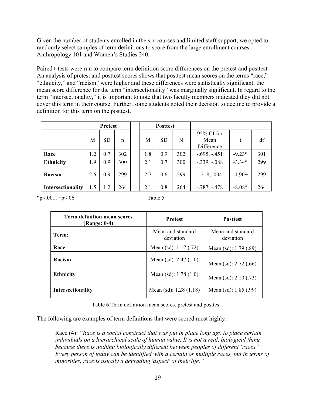Given the number of students enrolled in the six courses and limited staff support, we opted to randomly select samples of term definitions to score from the large enrollment courses: Anthropology 101 and Women's Studies 240.

Paired t-tests were run to compare term definition score differences on the pretest and posttest. An analysis of pretest and posttest scores shows that posttest mean scores on the terms "race," "ethnicity," and "racism" were higher and these differences were statistically significant; the mean score difference for the term "intersectionality" was marginally significant. In regard to the term "intersectionality," it is important to note that two faculty members indicated they did not cover this term in their course. Further, some students noted their decision to decline to provide a definition for this term on the posttest.

|                   |     | <b>Pretest</b> |     | <b>Posttest</b> |           |     |                                  |          |     |
|-------------------|-----|----------------|-----|-----------------|-----------|-----|----------------------------------|----------|-----|
|                   | M   | <b>SD</b>      | n   | M               | <b>SD</b> | N   | 95% CI for<br>Mean<br>Difference |          | df  |
| Race              | 1.2 | 0.7            | 302 | 1.8             | 0.9       | 302 | $-.695, -.451$                   | $-9.23*$ | 301 |
| <b>Ethnicity</b>  | 1.9 | 0.9            | 300 | 2.1             | 0.7       | 300 | $-.339, -.088$                   | $-3.34*$ | 299 |
| Racism            | 2.6 | 0.9            | 299 | 2.7             | 0.6       | 299 | $-218, .004$                     | $-1.90+$ | 299 |
| Intersectionality | 1.5 | 1.2            | 264 | 2.1             | 0.8       | 264 | $-787, -478$                     | $-8.08*$ | 264 |

 $*p<.001, +p<.06$ 

| m<br>ı |  |
|--------|--|
|--------|--|

| <b>Term definition mean scores</b><br>(Range: 0-4) | <b>Pretest</b>                 | <b>Posttest</b>                |
|----------------------------------------------------|--------------------------------|--------------------------------|
| Term:                                              | Mean and standard<br>deviation | Mean and standard<br>deviation |
| Race                                               | Mean (sd): 1.17 (.72)          | Mean (sd): $1.79$ (.89)        |
| Racism                                             | Mean (sd): $2.47(1.0)$         | Mean $(sd)$ : 2.72 $(.66)$     |
| <b>Ethnicity</b>                                   | Mean (sd): $1.78(1.0)$         | Mean (sd): $2.10$ (.73)        |
| Intersectionality                                  | Mean (sd): $1.28$ (1.18)       | Mean (sd): 1.85 (.99)          |

Table 6 Term definition mean scores, pretest and posttest

The following are examples of term definitions that were scored most highly:

Race (4): *"Race is a social construct that was put in place long ago to place certain individuals on a hierarchical scale of human value. It is not a real, biological thing because there is nothing biologically different between peoples of different 'races.' Every person of today can be identified with a certain or multiple races, but in terms of minorities, race is usually a degrading 'aspect' of their life."*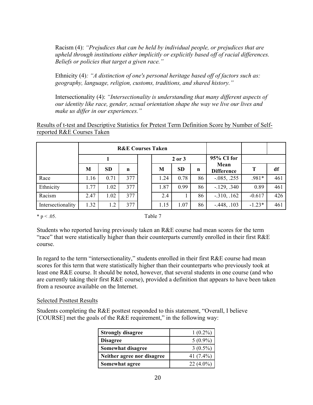Racism (4): *"Prejudices that can be held by individual people, or prejudices that are upheld through institutions either implicitly or explicitly based off of racial differences. Beliefs or policies that target a given race."*

Ethnicity (4)*: "A distinction of one's personal heritage based off of factors such as: geography, language, religion, customs, traditions, and shared history."*

Intersectionality (4): *"Intersectionality is understanding that many different aspects of our identity like race, gender, sexual orientation shape the way we live our lives and make us differ in our experiences."*

Results of t-test and Descriptive Statistics for Pretest Term Definition Score by Number of Selfreported R&E Courses Taken

| <b>R&amp;E Courses Taken</b> |      |      |     |  |        |           |    |                           |          |     |
|------------------------------|------|------|-----|--|--------|-----------|----|---------------------------|----------|-----|
|                              |      |      |     |  | 2 or 3 |           |    | 95% CI for                |          |     |
|                              | M    | SD   | n   |  | M      | <b>SD</b> | n  | Mean<br><b>Difference</b> | т        | df  |
| Race                         | 1.16 | 0.71 | 377 |  | 1.24   | 0.78      | 86 | $-0.085, .255$            | $.981*$  | 461 |
| Ethnicity                    | 1.77 | 1.02 | 377 |  | 1.87   | 0.99      | 86 | $-129, .340$              | 0.89     | 461 |
| Racism                       | 2.47 | 1.02 | 377 |  | 2.4    |           | 86 | $-310, .162$              | $-0.617$ | 426 |
| Intersectionality            | 1.32 | 1.2  | 377 |  | 1.15   | 1.07      | 86 | $-.448, .103$             | $-1.23*$ | 461 |

 $* p < .05.$  Table 7

Students who reported having previously taken an R&E course had mean scores for the term "race" that were statistically higher than their counterparts currently enrolled in their first R&E course.

In regard to the term "intersectionality," students enrolled in their first R&E course had mean scores for this term that were statistically higher than their counterparts who previously took at least one R&E course. It should be noted, however, that several students in one course (and who are currently taking their first R&E course), provided a definition that appears to have been taken from a resource available on the Internet.

#### Selected Posttest Results

Students completing the R&E posttest responded to this statement, "Overall, I believe [COURSE] met the goals of the R&E requirement," in the following way:

| <b>Strongly disagree</b>   | $1(0.2\%)$   |
|----------------------------|--------------|
| <b>Disagree</b>            | $5(0.9\%)$   |
| Somewhat disagree          | $3(0.5\%)$   |
| Neither agree nor disagree | 41 $(7.4\%)$ |
| Somewhat agree             | $22(4.0\%)$  |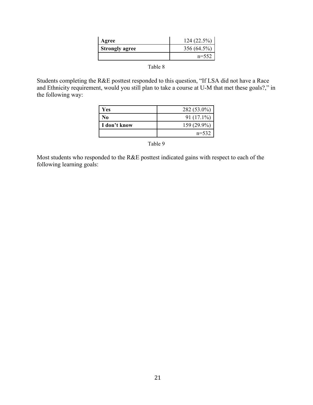| Agree                 | 124(22.5%)  |
|-----------------------|-------------|
| <b>Strongly agree</b> | 356 (64.5%) |
|                       | $n=552$     |
|                       |             |

Table 8

Students completing the R&E posttest responded to this question, "If LSA did not have a Race and Ethnicity requirement, would you still plan to take a course at U-M that met these goals?," in the following way:

| Yes          | 282 (53.0%)  |
|--------------|--------------|
| No           | $91(17.1\%)$ |
| I don't know | 159 (29.9%)  |
|              | $n=532$      |

Table 9

Most students who responded to the R&E posttest indicated gains with respect to each of the following learning goals: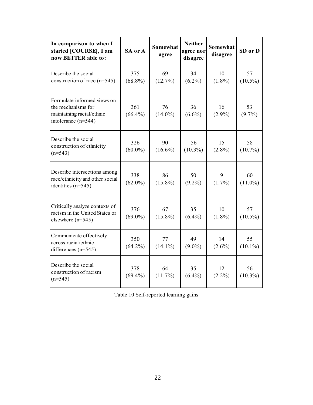| In comparison to when I<br>started [COURSE], I am<br>now BETTER able to:                              | SA or A           | <b>Somewhat</b><br>agree | <b>Neither</b><br>agree nor<br>disagree | <b>Somewhat</b><br>disagree | SD or D          |
|-------------------------------------------------------------------------------------------------------|-------------------|--------------------------|-----------------------------------------|-----------------------------|------------------|
| Describe the social<br>construction of race $(n=545)$                                                 | 375<br>$(68.8\%)$ | 69<br>(12.7%)            | 34<br>$(6.2\%)$                         | 10<br>$(1.8\%)$             | 57<br>$(10.5\%)$ |
| Formulate informed views on<br>the mechanisms for<br>maintaining racial/ethnic<br>intolerance (n=544) | 361<br>$(66.4\%)$ | 76<br>$(14.0\%)$         | 36<br>$(6.6\%)$                         | 16<br>$(2.9\%)$             | 53<br>$(9.7\%)$  |
| Describe the social<br>construction of ethnicity<br>$(n=543)$                                         | 326<br>$(60.0\%)$ | 90<br>$(16.6\%)$         | 56<br>$(10.3\%)$                        | 15<br>$(2.8\%)$             | 58<br>$(10.7\%)$ |
| Describe intersections among<br>race/ethnicity and other social<br>identities $(n=545)$               | 338<br>$(62.0\%)$ | 86<br>$(15.8\%)$         | 50<br>$(9.2\%)$                         | 9<br>$(1.7\%)$              | 60<br>$(11.0\%)$ |
| Critically analyze contexts of<br>racism in the United States or<br>elsewhere $(n=545)$               | 376<br>$(69.0\%)$ | 67<br>$(15.8\%)$         | 35<br>$(6.4\%)$                         | 10<br>$(1.8\%)$             | 57<br>$(10.5\%)$ |
| Communicate effectively<br>across racial/ethnic<br>differences $(n=545)$                              | 350<br>$(64.2\%)$ | 77<br>$(14.1\%)$         | 49<br>$(9.0\%)$                         | 14<br>$(2.6\%)$             | 55<br>$(10.1\%)$ |
| Describe the social<br>construction of racism<br>$(n=545)$                                            | 378<br>$(69.4\%)$ | 64<br>$(11.7\%)$         | 35<br>$(6.4\%)$                         | 12<br>$(2.2\%)$             | 56<br>$(10.3\%)$ |

Table 10 Self-reported learning gains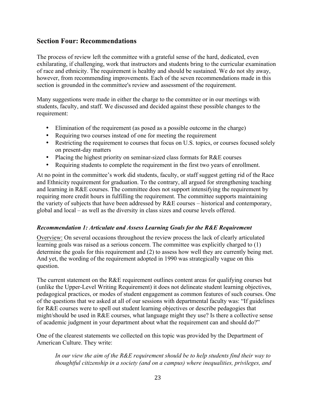# **Section Four: Recommendations**

The process of review left the committee with a grateful sense of the hard, dedicated, even exhilarating, if challenging, work that instructors and students bring to the curricular examination of race and ethnicity. The requirement is healthy and should be sustained. We do not shy away, however, from recommending improvements. Each of the seven recommendations made in this section is grounded in the committee's review and assessment of the requirement.

Many suggestions were made in either the charge to the committee or in our meetings with students, faculty, and staff. We discussed and decided against these possible changes to the requirement:

- Elimination of the requirement (as posed as a possible outcome in the charge)
- Requiring two courses instead of one for meeting the requirement
- Restricting the requirement to courses that focus on U.S. topics, or courses focused solely on present-day matters
- Placing the highest priority on seminar-sized class formats for R&E courses
- Requiring students to complete the requirement in the first two years of enrollment.

At no point in the committee's work did students, faculty, or staff suggest getting rid of the Race and Ethnicity requirement for graduation. To the contrary, all argued for strengthening teaching and learning in R&E courses. The committee does not support intensifying the requirement by requiring more credit hours in fulfilling the requirement. The committee supports maintaining the variety of subjects that have been addressed by R&E courses – historical and contemporary, global and local – as well as the diversity in class sizes and course levels offered.

### *Recommendation 1: Articulate and Assess Learning Goals for the R&E Requirement*

Overview: On several occasions throughout the review process the lack of clearly articulated learning goals was raised as a serious concern. The committee was explicitly charged to (1) determine the goals for this requirement and (2) to assess how well they are currently being met. And yet, the wording of the requirement adopted in 1990 was strategically vague on this question.

The current statement on the R&E requirement outlines content areas for qualifying courses but (unlike the Upper-Level Writing Requirement) it does not delineate student learning objectives, pedagogical practices, or modes of student engagement as common features of such courses. One of the questions that we asked at all of our sessions with departmental faculty was: "If guidelines for R&E courses were to spell out student learning objectives or describe pedagogies that might/should be used in R&E courses, what language might they use? Is there a collective sense of academic judgment in your department about what the requirement can and should do?"

One of the clearest statements we collected on this topic was provided by the Department of American Culture. They write:

*In our view the aim of the R&E requirement should be to help students find their way to thoughtful citizenship in a society (and on a campus) where inequalities, privileges, and*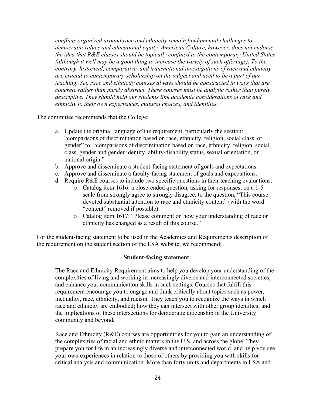*conflicts organized around race and ethnicity remain fundamental challenges to democratic values and educational equity. American Culture, however, does not endorse the idea that R&E classes should be topically confined to the contemporary United States (although it well may be a good thing to increase the variety of such offerings). To the contrary, historical, comparative, and transnational investigations of race and ethnicity are crucial to contemporary scholarship on the subject and need to be a part of our teaching. Yet, race and ethnicity courses always should be constructed in ways that are concrete rather than purely abstract. These courses must be analytic rather than purely descriptive. They should help our students link academic considerations of race and ethnicity to their own experiences, cultural choices, and identities.* 

The committee recommends that the College:

- a. Update the original language of the requirement, particularly the section: "comparisons of discrimination based on race, ethnicity, religion, social class, or gender" to: "comparisons of discrimination based on race, ethnicity, religion, social class, gender and gender identity, ability/disability status, sexual orientation, or national origin."
- b. Approve and disseminate a student-facing statement of goals and expectations.
- c. Approve and disseminate a faculty-facing statement of goals and expectations.
- d. Require R&E courses to include two specific questions in their teaching evaluations:
	- o Catalog item 1616: a close-ended question, asking for responses, on a 1-5 scale from strongly agree to strongly disagree, to the question, "This course devoted substantial attention to race and ethnicity content" (with the word "content" removed if possible).
	- o Catalog item 1617: "Please comment on how your understanding of race or ethnicity has changed as a result of this course."

For the student-facing statement to be used in the Academics and Requirements description of the requirement on the student section of the LSA website, we recommend:

#### **Student-facing statement**

The Race and Ethnicity Requirement aims to help you develop your understanding of the complexities of living and working in increasingly diverse and interconnected societies, and enhance your communication skills in such settings. Courses that fulfill this requirement encourage you to engage and think critically about topics such as power, inequality, race, ethnicity, and racism. They teach you to recognize the ways in which race and ethnicity are embodied; how they can intersect with other group identities; and the implications of these intersections for democratic citizenship in the University community and beyond.

Race and Ethnicity (R&E) courses are opportunities for you to gain an understanding of the complexities of racial and ethnic matters in the U.S. and across the globe. They prepare you for life in an increasingly diverse and interconnected world, and help you see your own experiences in relation to those of others by providing you with skills for critical analysis and communication. More than forty units and departments in LSA and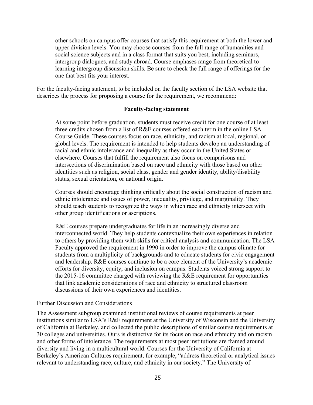other schools on campus offer courses that satisfy this requirement at both the lower and upper division levels. You may choose courses from the full range of humanities and social science subjects and in a class format that suits you best, including seminars, intergroup dialogues, and study abroad. Course emphases range from theoretical to learning intergroup discussion skills. Be sure to check the full range of offerings for the one that best fits your interest.

For the faculty-facing statement, to be included on the faculty section of the LSA website that describes the process for proposing a course for the requirement, we recommend:

#### **Faculty-facing statement**

At some point before graduation, students must receive credit for one course of at least three credits chosen from a list of R&E courses offered each term in the online LSA Course Guide. These courses focus on race, ethnicity, and racism at local, regional, or global levels. The requirement is intended to help students develop an understanding of racial and ethnic intolerance and inequality as they occur in the United States or elsewhere. Courses that fulfill the requirement also focus on comparisons and intersections of discrimination based on race and ethnicity with those based on other identities such as religion, social class, gender and gender identity, ability/disability status, sexual orientation, or national origin.

Courses should encourage thinking critically about the social construction of racism and ethnic intolerance and issues of power, inequality, privilege, and marginality. They should teach students to recognize the ways in which race and ethnicity intersect with other group identifications or ascriptions.

R&E courses prepare undergraduates for life in an increasingly diverse and interconnected world. They help students contextualize their own experiences in relation to others by providing them with skills for critical analysis and communication. The LSA Faculty approved the requirement in 1990 in order to improve the campus climate for students from a multiplicity of backgrounds and to educate students for civic engagement and leadership. R&E courses continue to be a core element of the University's academic efforts for diversity, equity, and inclusion on campus. Students voiced strong support to the 2015-16 committee charged with reviewing the R&E requirement for opportunities that link academic considerations of race and ethnicity to structured classroom discussions of their own experiences and identities.

#### Further Discussion and Considerations

The Assessment subgroup examined institutional reviews of course requirements at peer institutions similar to LSA's R&E requirement at the University of Wisconsin and the University of California at Berkeley, and collected the public descriptions of similar course requirements at 30 colleges and universities. Ours is distinctive for its focus on race and ethnicity and on racism and other forms of intolerance. The requirements at most peer institutions are framed around diversity and living in a multicultural world. Courses for the University of California at Berkeley's American Cultures requirement, for example, "address theoretical or analytical issues relevant to understanding race, culture, and ethnicity in our society." The University of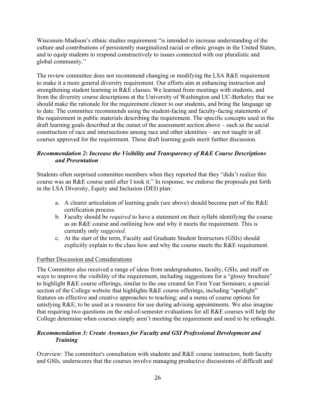Wisconsin-Madison's ethnic studies requirement "is intended to increase understanding of the culture and contributions of persistently marginalized racial or ethnic groups in the United States, and to equip students to respond constructively to issues connected with our pluralistic and global community."

The review committee does not recommend changing or modifying the LSA R&E requirement to make it a more general diversity requirement. Our efforts aim at enhancing instruction and strengthening student learning in R&E classes. We learned from meetings with students, and from the diversity course descriptions at the University of Washington and UC-Berkeley that we should make the rationale for the requirement clearer to our students, and bring the language up to date. The committee recommends using the student-facing and faculty-facing statements of the requirement in public materials describing the requirement. The specific concepts used in the draft learning goals described at the outset of the assessment section above – such as the social construction of race and intersections among race and other identities – are not taught in all courses approved for the requirement. These draft learning goals merit further discussion.

## *Recommendation 2: Increase the Visibility and Transparency of R&E Course Descriptions and Presentation*

Students often surprised committee members when they reported that they "didn't realize this course was an R&E course until after I took it." In response, we endorse the proposals put forth in the LSA Diversity, Equity and Inclusion (DEI) plan:

- a. A clearer articulation of learning goals (see above) should become part of the R&E certification process.
- b. Faculty should be *required* to have a statement on their syllabi identifying the course as an R&E course and outlining how and why it meets the requirement. This is currently only *suggested*.
- c. At the start of the term, Faculty and Graduate Student Instructors (GSIs) should explicitly explain to the class how and why the course meets the R&E requirement.

### Further Discussion and Considerations

The Committee also received a range of ideas from undergraduates, faculty, GSIs, and staff on ways to improve the visibility of the requirement, including suggestions for a "glossy brochure" to highlight R&E course offerings, similar to the one created for First Year Seminars; a special section of the College website that highlights R&E course offerings, including "spotlight" features on effective and creative approaches to teaching; and a menu of course options for satisfying R&E, to be used as a resource for use during advising appointments. We also imagine that requiring two questions on the end-of-semester evaluations for all R&E courses will help the College determine when courses simply aren't meeting the requirement and need to be rethought.

### *Recommendation 3: Create Avenues for Faculty and GSI Professional Development and Training*

Overview: The committee's consultation with students and R&E course instructors, both faculty and GSIs, underscores that the courses involve managing productive discussions of difficult and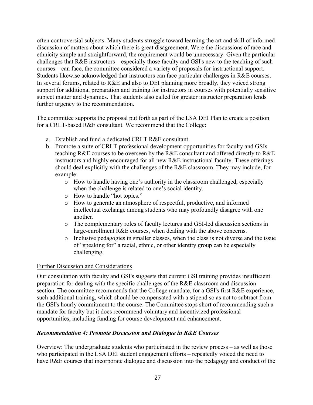often controversial subjects. Many students struggle toward learning the art and skill of informed discussion of matters about which there is great disagreement. Were the discussions of race and ethnicity simple and straightforward, the requirement would be unnecessary. Given the particular challenges that R&E instructors – especially those faculty and GSI's new to the teaching of such courses – can face, the committee considered a variety of proposals for instructional support. Students likewise acknowledged that instructors can face particular challenges in R&E courses. In several forums, related to R&E and also to DEI planning more broadly, they voiced strong support for additional preparation and training for instructors in courses with potentially sensitive subject matter and dynamics. That students also called for greater instructor preparation lends further urgency to the recommendation.

The committee supports the proposal put forth as part of the LSA DEI Plan to create a position for a CRLT-based R&E consultant. We recommend that the College:

- a. Establish and fund a dedicated CRLT R&E consultant
- b. Promote a suite of CRLT professional development opportunities for faculty and GSIs teaching R&E courses to be overseen by the R&E consultant and offered directly to R&E instructors and highly encouraged for all new R&E instructional faculty. These offerings should deal explicitly with the challenges of the R&E classroom. They may include, for example:
	- o How to handle having one's authority in the classroom challenged, especially when the challenge is related to one's social identity.
	- o How to handle "hot topics."
	- o How to generate an atmosphere of respectful, productive, and informed intellectual exchange among students who may profoundly disagree with one another.
	- o The complementary roles of faculty lectures and GSI-led discussion sections in large-enrollment R&E courses, when dealing with the above concerns.
	- o Inclusive pedagogies in smaller classes, when the class is not diverse and the issue of "speaking for" a racial, ethnic, or other identity group can be especially challenging.

## Further Discussion and Considerations

Our consultation with faculty and GSI's suggests that current GSI training provides insufficient preparation for dealing with the specific challenges of the R&E classroom and discussion section. The committee recommends that the College mandate, for a GSI's first R&E experience, such additional training, which should be compensated with a stipend so as not to subtract from the GSI's hourly commitment to the course. The Committee stops short of recommending such a mandate for faculty but it does recommend voluntary and incentivized professional opportunities, including funding for course development and enhancement.

## *Recommendation 4: Promote Discussion and Dialogue in R&E Courses*

Overview: The undergraduate students who participated in the review process – as well as those who participated in the LSA DEI student engagement efforts – repeatedly voiced the need to have R&E courses that incorporate dialogue and discussion into the pedagogy and conduct of the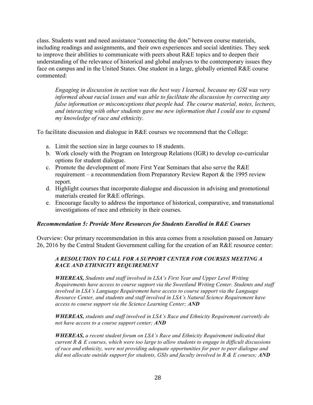class. Students want and need assistance "connecting the dots" between course materials, including readings and assignments, and their own experiences and social identities. They seek to improve their abilities to communicate with peers about R&E topics and to deepen their understanding of the relevance of historical and global analyses to the contemporary issues they face on campus and in the United States. One student in a large, globally oriented R&E course commented:

*Engaging in discussion in section was the best way I learned, because my GSI was very informed about racial issues and was able to facilitate the discussion by correcting any false information or misconceptions that people had. The course material, notes, lectures, and interacting with other students gave me new information that I could use to expand my knowledge of race and ethnicity.*

To facilitate discussion and dialogue in R&E courses we recommend that the College:

- a. Limit the section size in large courses to 18 students.
- b. Work closely with the Program on Intergroup Relations (IGR) to develop co-curricular options for student dialogue.
- c. Promote the development of more First Year Seminars that also serve the R&E requirement – a recommendation from Preparatory Review Report & the 1995 review report.
- d. Highlight courses that incorporate dialogue and discussion in advising and promotional materials created for R&E offerings.
- e. Encourage faculty to address the importance of historical, comparative, and transnational investigations of race and ethnicity in their courses.

#### *Recommendation 5: Provide More Resources for Students Enrolled in R&E Courses*

Overview: Our primary recommendation in this area comes from a resolution passed on January 26, 2016 by the Central Student Government calling for the creation of an R&E resource center:

#### *A RESOLUTION TO CALL FOR A SUPPORT CENTER FOR COURSES MEETING A RACE AND ETHNICITY REQUIREMENT*

*WHEREAS, Students and staff involved in LSA's First Year and Upper Level Writing Requirements have access to course support via the Sweetland Writing Center. Students and staff involved in LSA's Language Requirement have access to course support via the Language Resource Center, and students and staff involved in LSA's Natural Science Requirement have access to course support via the Science Learning Center; AND*

*WHEREAS, students and staff involved in LSA's Race and Ethnicity Requirement currently do not have access to a course support center; AND*

*WHEREAS, a recent student forum on LSA's Race and Ethnicity Requirement indicated that current R & E courses, which were too large to allow students to engage in difficult discussions of race and ethnicity, were not providing adequate opportunities for peer to peer dialogue and did not allocate outside support for students, GSIs and faculty involved in R & E courses; AND*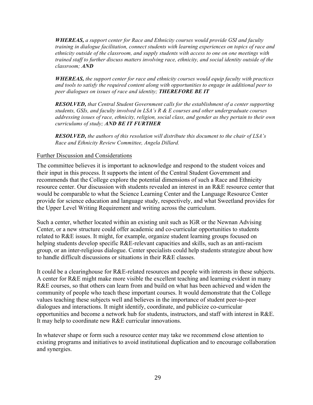*WHEREAS, a support center for Race and Ethnicity courses would provide GSI and faculty training in dialogue facilitation, connect students with learning experiences on topics of race and ethnicity outside of the classroom, and supply students with access to one on one meetings with trained staff to further discuss matters involving race, ethnicity, and social identity outside of the classroom; AND*

*WHEREAS, the support center for race and ethnicity courses would equip faculty with practices and tools to satisfy the required content along with opportunities to engage in additional peer to peer dialogues on issues of race and identity; THEREFORE BE IT*

*RESOLVED, that Central Student Government calls for the establishment of a center supporting students, GSIs, and faculty involved in LSA's R & E courses and other undergraduate courses addressing issues of race, ethnicity, religion, social class, and gender as they pertain to their own curriculums of study; AND BE IT FURTHER*

*RESOLVED, the authors of this resolution will distribute this document to the chair of LSA's Race and Ethnicity Review Committee, Angela Dillard.*

#### Further Discussion and Considerations

The committee believes it is important to acknowledge and respond to the student voices and their input in this process. It supports the intent of the Central Student Government and recommends that the College explore the potential dimensions of such a Race and Ethnicity resource center. Our discussion with students revealed an interest in an R&E resource center that would be comparable to what the Science Learning Center and the Language Resource Center provide for science education and language study, respectively, and what Sweetland provides for the Upper Level Writing Requirement and writing across the curriculum.

Such a center, whether located within an existing unit such as IGR or the Newnan Advising Center, or a new structure could offer academic and co-curricular opportunities to students related to R&E issues. It might, for example, organize student learning groups focused on helping students develop specific R&E-relevant capacities and skills, such as an anti-racism group, or an inter-religious dialogue. Center specialists could help students strategize about how to handle difficult discussions or situations in their R&E classes.

It could be a clearinghouse for R&E-related resources and people with interests in these subjects. A center for R&E might make more visible the excellent teaching and learning evident in many R&E courses, so that others can learn from and build on what has been achieved and widen the community of people who teach these important courses. It would demonstrate that the College values teaching these subjects well and believes in the importance of student peer-to-peer dialogues and interactions. It might identify, coordinate, and publicize co-curricular opportunities and become a network hub for students, instructors, and staff with interest in R&E. It may help to coordinate new R&E curricular innovations.

In whatever shape or form such a resource center may take we recommend close attention to existing programs and initiatives to avoid institutional duplication and to encourage collaboration and synergies.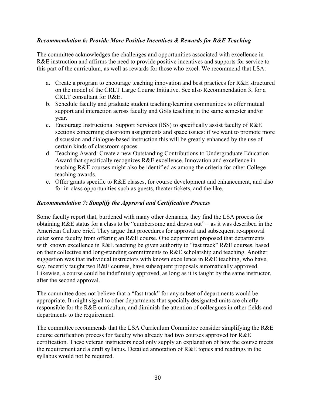### *Recommendation 6: Provide More Positive Incentives & Rewards for R&E Teaching*

The committee acknowledges the challenges and opportunities associated with excellence in R&E instruction and affirms the need to provide positive incentives and supports for service to this part of the curriculum, as well as rewards for those who excel. We recommend that LSA:

- a. Create a program to encourage teaching innovation and best practices for R&E structured on the model of the CRLT Large Course Initiative. See also Recommendation 3, for a CRLT consultant for R&E.
- b. Schedule faculty and graduate student teaching/learning communities to offer mutual support and interaction across faculty and GSIs teaching in the same semester and/or year.
- c. Encourage Instructional Support Services (ISS) to specifically assist faculty of R&E sections concerning classroom assignments and space issues: if we want to promote more discussion and dialogue-based instruction this will be greatly enhanced by the use of certain kinds of classroom spaces.
- d. Teaching Award: Create a new Outstanding Contributions to Undergraduate Education Award that specifically recognizes R&E excellence. Innovation and excellence in teaching R&E courses might also be identified as among the criteria for other College teaching awards.
- e. Offer grants specific to R&E classes, for course development and enhancement, and also for in-class opportunities such as guests, theater tickets, and the like.

#### *Recommendation 7: Simplify the Approval and Certification Process*

Some faculty report that, burdened with many other demands, they find the LSA process for obtaining R&E status for a class to be "cumbersome and drawn out" – as it was described in the American Culture brief. They argue that procedures for approval and subsequent re-approval deter some faculty from offering an R&E course. One department proposed that departments with known excellence in R&E teaching be given authority to "fast track" R&E courses, based on their collective and long-standing commitments to R&E scholarship and teaching. Another suggestion was that individual instructors with known excellence in R&E teaching, who have, say, recently taught two R&E courses, have subsequent proposals automatically approved. Likewise, a course could be indefinitely approved, as long as it is taught by the same instructor, after the second approval.

The committee does not believe that a "fast track" for any subset of departments would be appropriate. It might signal to other departments that specially designated units are chiefly responsible for the R&E curriculum, and diminish the attention of colleagues in other fields and departments to the requirement.

The committee recommends that the LSA Curriculum Committee consider simplifying the R&E course certification process for faculty who already had two courses approved for R&E certification. These veteran instructors need only supply an explanation of how the course meets the requirement and a draft syllabus. Detailed annotation of R&E topics and readings in the syllabus would not be required.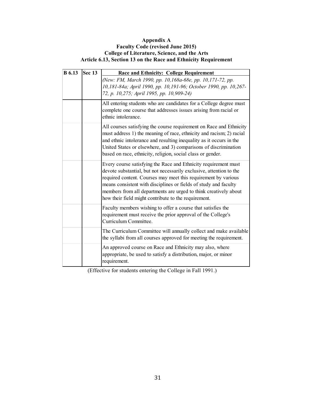#### **Appendix A Faculty Code (revised June 2015) College of Literature, Science, and the Arts Article 6.13, Section 13 on the Race and Ethnicity Requirement**

| <b>B</b> 6.13 | <b>Sec 13</b> | <b>Race and Ethnicity: College Requirement</b>                                                                                                                                                                                                                                                                                                                                                           |  |
|---------------|---------------|----------------------------------------------------------------------------------------------------------------------------------------------------------------------------------------------------------------------------------------------------------------------------------------------------------------------------------------------------------------------------------------------------------|--|
|               |               | (New: FM, March 1990, pp. 10,168a-68e, pp. 10,171-72, pp.<br>10,181-84a; April 1990, pp. 10,191-96; October 1990, pp. 10,267-<br>72, p. 10,275; April 1995, pp. 10,909-24)                                                                                                                                                                                                                               |  |
|               |               | All entering students who are candidates for a College degree must<br>complete one course that addresses issues arising from racial or<br>ethnic intolerance.                                                                                                                                                                                                                                            |  |
|               |               | All courses satisfying the course requirement on Race and Ethnicity<br>must address 1) the meaning of race, ethnicity and racism; 2) racial<br>and ethnic intolerance and resulting inequality as it occurs in the<br>United States or elsewhere, and 3) comparisons of discrimination<br>based on race, ethnicity, religion, social class or gender.                                                    |  |
|               |               | Every course satisfying the Race and Ethnicity requirement must<br>devote substantial, but not necessarily exclusive, attention to the<br>required content. Courses may meet this requirement by various<br>means consistent with disciplines or fields of study and faculty<br>members from all departments are urged to think creatively about<br>how their field might contribute to the requirement. |  |
|               |               | Faculty members wishing to offer a course that satisfies the<br>requirement must receive the prior approval of the College's<br>Curriculum Committee.                                                                                                                                                                                                                                                    |  |
|               |               | The Curriculum Committee will annually collect and make available<br>the syllabi from all courses approved for meeting the requirement.                                                                                                                                                                                                                                                                  |  |
|               |               | An approved course on Race and Ethnicity may also, where<br>appropriate, be used to satisfy a distribution, major, or minor<br>requirement.                                                                                                                                                                                                                                                              |  |

(Effective for students entering the College in Fall 1991.)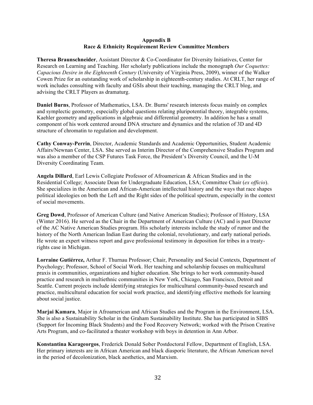#### **Appendix B Race & Ethnicity Requirement Review Committee Members**

**Theresa Braunschneider**, Assistant Director & Co-Coordinator for Diversity Initiatives, Center for Research on Learning and Teaching. Her scholarly publications include the monograph *Our Coquettes: Capacious Desire in the Eighteenth Century* (University of Virginia Press, 2009), winner of the Walker Cowen Prize for an outstanding work of scholarship in eighteenth-century studies. At CRLT, her range of work includes consulting with faculty and GSIs about their teaching, managing the CRLT blog, and advising the CRLT Players as dramaturg.

**Daniel Burns**, Professor of Mathematics, LSA. Dr. Burns' research interests focus mainly on complex and symplectic geometry, especially global questions relating pluripotential theory, integrable systems, Kaehler geometry and applications in algebraic and differential geometry. In addition he has a small component of his work centered around DNA structure and dynamics and the relation of 3D and 4D structure of chromatin to regulation and development.

**Cathy Conway-Perrin**, Director, Academic Standards and Academic Opportunities, Student Academic Affairs/Newnan Center, LSA. She served as Interim Director of the Comprehensive Studies Program and was also a member of the CSP Futures Task Force, the President's Diversity Council, and the U-M Diversity Coordinating Team.

**Angela Dillard**, Earl Lewis Collegiate Professor of Afroamerican & African Studies and in the Residential College; Associate Dean for Undergraduate Education, LSA; Committee Chair (*ex officio*). She specializes in the American and African-American intellectual history and the ways that race shapes political ideologies on both the Left and the Right sides of the political spectrum, especially in the context of social movements.

**Greg Dowd**, Professor of American Culture (and Native American Studies); Professor of History, LSA (Winter 2016). He served as the Chair in the Department of American Culture (AC) and is past Director of the AC Native American Studies program. His scholarly interests include the study of rumor and the history of the North American Indian East during the colonial, revolutionary, and early national periods. He wrote an expert witness report and gave professional testimony in deposition for tribes in a treatyrights case in Michigan.

**Lorraine Gutiérrez,** Arthur F. Thurnau Professor; Chair, Personality and Social Contexts, Department of Psychology; Professor, School of Social Work. Her teaching and scholarship focuses on multicultural praxis in communities, organizations and higher education. She brings to her work community-based practice and research in multiethnic communities in New York, Chicago, San Francisco, Detroit and Seattle. Current projects include identifying strategies for multicultural community-based research and practice, multicultural education for social work practice, and identifying effective methods for learning about social justice.

**Marjai Kamara**, Major in Afroamerican and African Studies and the Program in the Environment, LSA. *S*he is also a Sustainability Scholar in the Graham Sustainability Institute. She has participated in SIBS (Support for Incoming Black Students) and the Food Recovery Network; worked with the Prison Creative Arts Program, and co-facilitated a theater workshop with boys in detention in Ann Arbor.

**Konstantina Karageorgos**, Frederick Donald Sober Postdoctoral Fellow, Department of English, LSA. Her primary interests are in African American and black diasporic literature, the African American novel in the period of decolonization, black aesthetics, and Marxism.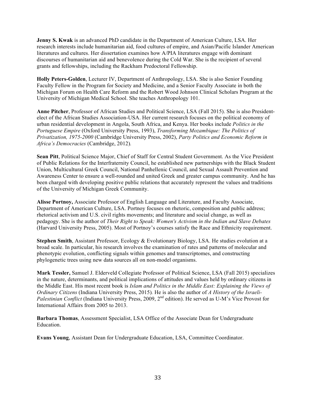**Jenny S. Kwak** is an advanced PhD candidate in the Department of American Culture, LSA. Her research interests include humanitarian aid, food cultures of empire, and Asian/Pacific Islander American literatures and cultures. Her dissertation examines how A/PIA literatures engage with dominant discourses of humanitarian aid and benevolence during the Cold War. She is the recipient of several grants and fellowships, including the Rackham Predoctoral Fellowship.

**Holly Peters-Golden**, Lecturer IV, Department of Anthropology, LSA. She is also Senior Founding Faculty Fellow in the Program for Society and Medicine, and a Senior Faculty Associate in both the Michigan Forum on Health Care Reform and the Robert Wood Johnson Clinical Scholars Program at the University of Michigan Medical School. She teaches Anthropology 101.

**Anne Pitcher**, Professor of African Studies and Political Science, LSA (Fall 2015). She is also Presidentelect of the African Studies Association-USA. Her current research focuses on the political economy of urban residential development in Angola, South Africa, and Kenya. Her books include *Politics in the Portuguese Empire* (Oxford University Press, 1993), *Transforming Mozambique: The Politics of Privatization, 1975-2000* (Cambridge University Press, 2002), *Party Politics and Economic Reform in Africa's Democracies* (Cambridge, 2012)*.*

**Sean Pitt**, Political Science Major, Chief of Staff for Central Student Government. As the Vice President of Public Relations for the Interfraternity Council, he established new partnerships with the Black Student Union, Multicultural Greek Council, National Panhellenic Council, and Sexual Assault Prevention and Awareness Center to ensure a well-rounded and united Greek and greater campus community. And he has been charged with developing positive public relations that accurately represent the values and traditions of the University of Michigan Greek Community.

**Alisse Portnoy,** Associate Professor of English Language and Literature, and Faculty Associate, Department of American Culture, LSA. Portnoy focuses on rhetoric, composition and public address; rhetorical activism and U.S. civil rights movements; and literature and social change, as well as pedagogy. She is the author of *Their Right to Speak: Women's Activism in the Indian and Slave Debates* (Harvard University Press, 2005). Most of Portnoy's courses satisfy the Race and Ethnicity requirement.

**Stephen Smith**, Assistant Professor, Ecology & Evolutionary Biology, LSA. He studies evolution at a broad scale. In particular, his research involves the examination of rates and patterns of molecular and phenotypic evolution, conflicting signals within genomes and transcriptomes, and constructing phylogenetic trees using new data sources all on non-model organisms.

**Mark Tessler,** Samuel J. Elderveld Collegiate Professor of Political Science, LSA (Fall 2015) specializes in the nature, determinants, and political implications of attitudes and values held by ordinary citizens in the Middle East. His most recent book is *Islam and Politics in the Middle East: Explaining the Views of Ordinary Citizens* (Indiana University Press, 2015)*.* He is also the author of *A History of the Israeli-Palestinian Conflict* (Indiana University Press, 2009, 2<sup>nd</sup> edition). He served as U-M's Vice Provost for International Affairs from 2005 to 2013.

**Barbara Thomas**, Assessment Specialist, LSA Office of the Associate Dean for Undergraduate Education.

**Evans Young**, Assistant Dean for Undergraduate Education, LSA, Committee Coordinator.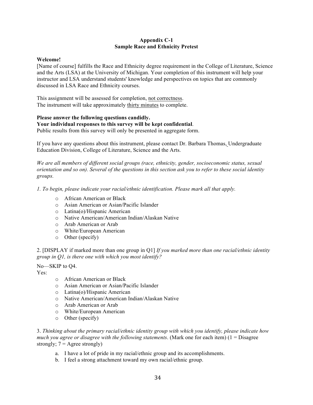#### **Appendix C-1 Sample Race and Ethnicity Pretest**

#### **Welcome!**

[Name of course] fulfills the Race and Ethnicity degree requirement in the College of Literature, Science and the Arts (LSA) at the University of Michigan. Your completion of this instrument will help your instructor and LSA understand students' knowledge and perspectives on topics that are commonly discussed in LSA Race and Ethnicity courses.

This assignment will be assessed for completion, not correctness. The instrument will take approximately thirty minutes to complete.

#### **Please answer the following questions candidly.**

#### **Your individual responses to this survey will be kept confidential**.

Public results from this survey will only be presented in aggregate form.

If you have any questions about this instrument, please contact Dr. Barbara Thomas, Undergraduate Education Division, College of Literature, Science and the Arts.

*We are all members of different social groups (race, ethnicity, gender, socioeconomic status, sexual orientation and so on). Several of the questions in this section ask you to refer to these social identity groups.*

*1. To begin, please indicate your racial/ethnic identification. Please mark all that apply.*

- o African American or Black
- o Asian American or Asian/Pacific Islander
- o Latina(o)/Hispanic American
- o Native American/American Indian/Alaskan Native
- o Arab American or Arab
- o White/European American
- o Other (specify)

2. [DISPLAY if marked more than one group in Q1] *If you marked more than one racial/ethnic identity group in Q1, is there one with which you most identify?*

No—SKIP to Q4.

Yes:

- o African American or Black
- o Asian American or Asian/Pacific Islander
- o Latina(o)/Hispanic American
- o Native American/American Indian/Alaskan Native
- o Arab American or Arab
- o White/European American
- o Other (specify)

3. *Thinking about the primary racial/ethnic identity group with which you identify, please indicate how much you agree or disagree with the following statements*. (Mark one for each item) (1 = Disagree strongly;  $7 = \text{Agree strongly}$ )

- a. I have a lot of pride in my racial/ethnic group and its accomplishments.
- b. I feel a strong attachment toward my own racial/ethnic group.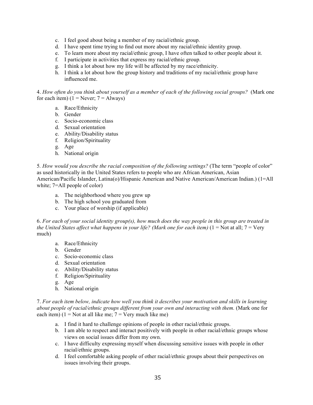- c. I feel good about being a member of my racial/ethnic group.
- d. I have spent time trying to find out more about my racial/ethnic identity group.
- e. To learn more about my racial/ethnic group, I have often talked to other people about it.
- f. I participate in activities that express my racial/ethnic group.
- g. I think a lot about how my life will be affected by my race/ethnicity.
- h. I think a lot about how the group history and traditions of my racial/ethnic group have influenced me.

4. *How often do you think about yourself as a member of each of the following social groups?* (Mark one for each item)  $(1 = \text{Never}; 7 = \text{Always})$ 

- a. Race/Ethnicity
- b. Gender
- c. Socio-economic class
- d. Sexual orientation
- e. Ability/Disability status
- f. Religion/Spirituality
- g. Age
- h. National origin

5*. How would you describe the racial composition of the following settings?* (The term "people of color" as used historically in the United States refers to people who are African American, Asian American/Pacific Islander, Latina(o)/Hispanic American and Native American/American Indian.) (1=All white; 7=All people of color)

- a. The neighborhood where you grew up
- b. The high school you graduated from
- c. Your place of worship (if applicable)

6. *For each of your social identity group(s), how much does the way people in this group are treated in the United States affect what happens in your life? (Mark one for each item)* (1 = Not at all; 7 = Very much)

- a. Race/Ethnicity
- b. Gender
- c. Socio-economic class
- d. Sexual orientation
- e. Ability/Disability status
- f. Religion/Spirituality
- g. Age
- h. National origin

7. *For each item below, indicate how well you think it describes your motivation and skills in learning about people of racial/ethnic groups different from your own and interacting with them.* (Mark one for each item)  $(1 = Not at all like me; 7 = Very much like me)$ 

- a. I find it hard to challenge opinions of people in other racial/ethnic groups.
- b. I am able to respect and interact positively with people in other racial/ethnic groups whose views on social issues differ from my own.
- c. I have difficulty expressing myself when discussing sensitive issues with people in other racial/ethnic groups.
- d. I feel comfortable asking people of other racial/ethnic groups about their perspectives on issues involving their groups.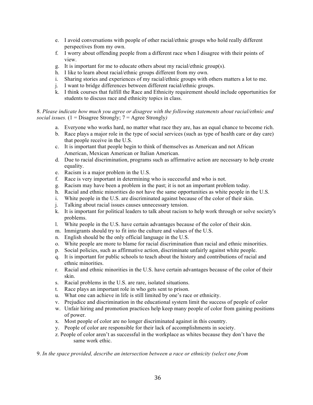- e. I avoid conversations with people of other racial/ethnic groups who hold really different perspectives from my own.
- f. I worry about offending people from a different race when I disagree with their points of view.
- g. It is important for me to educate others about my racial/ethnic group(s).
- h. I like to learn about racial/ethnic groups different from my own.
- i. Sharing stories and experiences of my racial/ethnic groups with others matters a lot to me.
- j. I want to bridge differences between different racial/ethnic groups.
- k. I think courses that fulfill the Race and Ethnicity requirement should include opportunities for students to discuss race and ethnicity topics in class.

#### 8. *Please indicate how much you agree or disagree with the following statements about racial/ethnic and social issues.* (1 = Disagree Strongly; 7 = Agree Strongly*)*

- a. Everyone who works hard, no matter what race they are, has an equal chance to become rich.
- b. Race plays a major role in the type of social services (such as type of health care or day care) that people receive in the U.S.
- c. It is important that people begin to think of themselves as American and not African American, Mexican American or Italian American.
- d. Due to racial discrimination, programs such as affirmative action are necessary to help create equality.
- e. Racism is a major problem in the U.S.
- f. Race is very important in determining who is successful and who is not.
- g. Racism may have been a problem in the past; it is not an important problem today.
- h. Racial and ethnic minorities do not have the same opportunities as white people in the U.S.
- i. White people in the U.S. are discriminated against because of the color of their skin.
- j. Talking about racial issues causes unnecessary tension.
- k. It is important for political leaders to talk about racism to help work through or solve society's problems.
- l. White people in the U.S. have certain advantages because of the color of their skin.
- m. Immigrants should try to fit into the culture and values of the U.S.
- n. English should be the only official language in the U.S.
- o. White people are more to blame for racial discrimination than racial and ethnic minorities.
- p. Social policies, such as affirmative action, discriminate unfairly against white people.
- q. It is important for public schools to teach about the history and contributions of racial and ethnic minorities.
- r. Racial and ethnic minorities in the U.S. have certain advantages because of the color of their skin.
- s. Racial problems in the U.S. are rare, isolated situations.
- t. Race plays an important role in who gets sent to prison.
- u. What one can achieve in life is still limited by one's race or ethnicity.
- v. Prejudice and discrimination in the educational system limit the success of people of color
- w. Unfair hiring and promotion practices help keep many people of color from gaining positions of power.
- x. Most people of color are no longer discriminated against in this country.
- y. People of color are responsible for their lack of accomplishments in society.
- z. People of color aren't as successful in the workplace as whites because they don't have the same work ethic.

9. *In the space provided, describe an intersection between a race or ethnicity (select one from*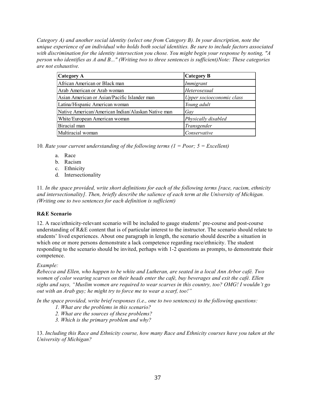*Category A) and another social identity (select one from Category B). In your description, note the unique experience of an individual who holds both social identities. Be sure to include factors associated with discrimination for the identity intersection you chose. You might begin your response by noting, "A person who identifies as A and B..." (Writing two to three sentences is sufficient)Note: These categories are not exhaustive.*

| Category A                                         | <b>Category B</b>         |
|----------------------------------------------------|---------------------------|
| African American or Black man                      | Immigrant                 |
| Arab American or Arab woman                        | Heterosexual              |
| Asian American or Asian/Pacific Islander man       | Upper socioeconomic class |
| Latina/Hispanic American woman                     | Young adult               |
| Native American/American Indian/Alaskan Native man | Gay                       |
| White/European American woman                      | Physically disabled       |
| Biracial man                                       | Transgender               |
| Multiracial woman                                  | Conservative              |

10*. Rate your current understanding of the following terms (1 = Poor; 5 = Excellent)*

- a. Race
- b. Racism
- c. Ethnicity
- d. Intersectionality

11*. In the space provided, write short definitions for each of the following terms [race, racism, ethnicity and intersectionality]. Then, briefly describe the salience of each term at the University of Michigan. (Writing one to two sentences for each definition is sufficient)*

#### **R&E Scenario**

12. A race/ethnicity-relevant scenario will be included to gauge students' pre-course and post-course understanding of R&E content that is of particular interest to the instructor. The scenario should relate to students' lived experiences. About one paragraph in length, the scenario should describe a situation in which one or more persons demonstrate a lack competence regarding race/ethnicity. The student responding to the scenario should be invited, perhaps with 1-2 questions as prompts, to demonstrate their competence.

#### *Example:*

*Rebecca and Ellen, who happen to be white and Lutheran, are seated in a local Ann Arbor café. Two women of color wearing scarves on their heads enter the café, buy beverages and exit the café. Ellen sighs and says, "Muslim women are required to wear scarves in this country, too? OMG! I wouldn't go out with an Arab guy; he might try to force me to wear a scarf, too!"*

*In the space provided, write brief responses (i.e., one to two sentences) to the following questions:*

- *1. What are the problems in this scenario?*
- *2. What are the sources of these problems?*
- *3. Which is the primary problem and why?*

13. *Including this Race and Ethnicity course, how many Race and Ethnicity courses have you taken at the University of Michigan?*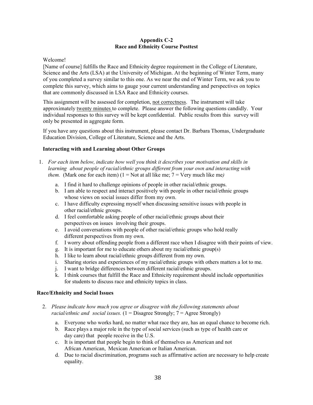#### **Appendix C-2 Race and Ethnicity Course Posttest**

#### Welcome!

[Name of course] fulfills the Race and Ethnicity degree requirement in the College of Literature, Science and the Arts (LSA) at the University of Michigan. At the beginning of Winter Term, many of you completed a survey similar to this one. As we near the end of Winter Term, we ask you to complete this survey, which aims to gauge your current understanding and perspectives on topics that are commonly discussed in LSA Race and Ethnicity courses.

This assignment will be assessed for completion, not correctness. The instrument will take approximately twenty minutes to complete. Please answer the following questions candidly. Your individual responses to this survey will be kept confidential. Public results from this survey will only be presented in aggregate form.

If you have any questions about this instrument, please contact Dr. Barbara Thomas, Undergraduate Education Division, College of Literature, Science and the Arts.

#### **Interacting with and Learning about Other Groups**

- 1. *For each item below, indicate how well you think it describes your motivation and skills in learning about people of racial/ethnic groups different from your own and interacting with them.* (Mark one for each item)  $(1 = Not at all like me; 7 = Very much like me)$ 
	- a. I find it hard to challenge opinions of people in other racial/ethnic groups.
	- b. I am able to respect and interact positively with people in other racial/ethnic groups whose views on social issues differ from my own.
	- c. I have difficulty expressing myself when discussing sensitive issues with people in other racial/ethnic groups.
	- d. I feel comfortable asking people of other racial/ethnic groups about their perspectives on issues involving their groups.
	- e. I avoid conversations with people of other racial/ethnic groups who hold really different perspectives from my own.
	- f. I worry about offending people from a different race when I disagree with their points of view.
	- g. It is important for me to educate others about my racial/ethnic group(s)
	- h. I like to learn about racial/ethnic groups different from my own.
	- i. Sharing stories and experiences of my racial/ethnic groups with others matters a lot to me.
	- j. I want to bridge differences between different racial/ethnic groups.
	- k. I think courses that fulfill the Race and Ethnicity requirement should include opportunities for students to discuss race and ethnicity topics in class.

#### **Race/Ethnicity and Social Issues**

- 2. *Please indicate how much you agree or disagree with the following statements about racial/ethnic and social issues.* (1 = Disagree Strongly; 7 = Agree Strongly)
	- a. Everyone who works hard, no matter what race they are, has an equal chance to become rich.
	- b. Race plays a major role in the type of social services (such as type of health care or day care) that people receive in the U.S.
	- c. It is important that people begin to think of themselves as American and not African American, Mexican American or Italian American.
	- d. Due to racial discrimination, programs such as affirmative action are necessary to help create equality.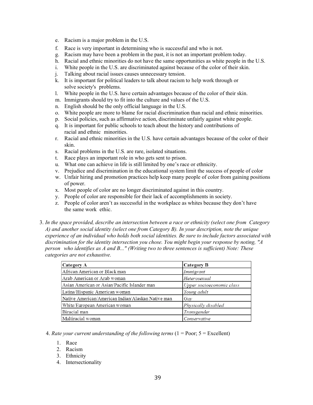- e. Racism is a major problem in the U.S.
- f. Race is very important in determining who is successful and who is not.
- g. Racism may have been a problem in the past, it is not an important problem today.
- h. Racial and ethnic minorities do not have the same opportunities as white people in the U.S.
- i. White people in the U.S. are discriminated against because of the color of their skin.
- j. Talking about racial issues causes unnecessary tension.
- k. It is important for political leaders to talk about racism to help work through or solve society's problems.
- l. White people in the U.S. have certain advantages because of the color of their skin.
- m. Immigrants should try to fit into the culture and values of the U.S.
- n. English should be the only official language in the U.S.
- o. White people are more to blame for racial discrimination than racial and ethnic minorities.
- p. Social policies, such as affirmative action, discriminate unfairly against white people.
- q. It is important for public schools to teach about the history and contributions of racial and ethnic minorities.
- r. Racial and ethnic minorities in the U.S. have certain advantages because of the color of their skin.
- s. Racial problems in the U.S. are rare, isolated situations.
- t. Race plays an important role in who gets sent to prison.
- u. What one can achieve in life is still limited by one's race or ethnicity.
- v. Prejudice and discrimination in the educational system limit the success of people of color
- w. Unfair hiring and promotion practices help keep many people of color from gaining positions of power.
- x. Most people of color are no longer discriminated against in this country.
- y. People of color are responsible for their lack of accomplishments in society.
- z. People of color aren't as successful in the workplace as whites because they don't have the same work ethic.
- 3. *In the space provided, describe an intersection between a race or ethnicity (select one from Category A) and another social identity (select one from Category B). In your description, note the unique experience of an individual who holds both social identities. Be sure to include factors associated with discrimination for the identity intersection you chose. You might begin your response by noting, "A person who identifies as A and B..." (Writing two to three sentences is sufficient) Note: These categories are not exhaustive.*

| Category A                                         | Category B                |
|----------------------------------------------------|---------------------------|
| African American or Black man                      | Immigrant                 |
| Arab American or Arab woman                        | Heterosexual              |
| Asian American or Asian/Pacific Islander man       | Upper socioeconomic class |
| Latina/Hispanic American woman                     | Young adult               |
| Native American/American Indian/Alaskan Native man | Gay                       |
| White/European American woman                      | Physically disabled       |
| Biracial man                                       | Transgender               |
| Multiracial woman                                  | Conservative              |

4. *Rate your current understanding of the following terms* (1 = Poor; 5 = Excellent)

- 1. Race
- 2. Racism
- 3. Ethnicity
- 4. Intersectionality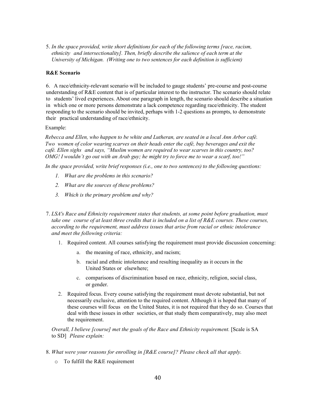5. *In the space provided, write short definitions for each of the following terms [race, racism, ethnicity and intersectionality]. Then, briefly describe the salience of each term at the University of Michigan. (Writing one to two sentences for each definition is sufficient)*

#### **R&E Scenario**

6. A race/ethnicity-relevant scenario will be included to gauge students' pre-course and post-course understanding of R&E content that is of particular interest to the instructor. The scenario should relate to students' lived experiences. About one paragraph in length, the scenario should describe a situation in which one or more persons demonstrate a lack competence regarding race/ethnicity. The student responding to the scenario should be invited, perhaps with 1-2 questions as prompts, to demonstrate their practical understanding of race/ethnicity.

Example:

*Rebecca and Ellen, who happen to be white and Lutheran, are seated in a local Ann Arbor café. Two women of color wearing scarves on their heads enter the café, buy beverages and exit the café. Ellen sighs and says, "Muslim women are required to wear scarves in this country, too? OMG! I wouldn't go out with an Arab guy; he might try to force me to wear a scarf, too!"*

*In the space provided, write brief responses (i.e., one to two sentences) to the following questions:*

- *1. What are the problems in this scenario?*
- *2. What are the sources of these problems?*
- *3. Which is the primary problem and why?*
- 7. *LSA's Race and Ethnicity requirement states that students, at some point before graduation, must take one course of at least three credits that is included on a list of R&E courses. These courses, according to the requirement, must address issues that arise from racial or ethnic intolerance and meet the following criteria:*
	- 1. Required content. All courses satisfying the requirement must provide discussion concerning:
		- a. the meaning of race, ethnicity, and racism;
		- b. racial and ethnic intolerance and resulting inequality as it occurs in the United States or elsewhere;
		- c. comparisons of discrimination based on race, ethnicity, religion, social class, or gender.
	- 2. Required focus. Every course satisfying the requirement must devote substantial, but not necessarily exclusive, attention to the required content. Although it is hoped that many of these courses will focus on the United States, it is not required that they do so. Courses that deal with these issues in other societies, or that study them comparatively, may also meet the requirement.

*Overall, I believe [course] met the goals of the Race and Ethnicity requirement.* [Scale is SA to SD] *Please explain:*

- 8. *What were your reasons for enrolling in [R&E course]? Please check all that apply.*
	- o To fulfill the R&E requirement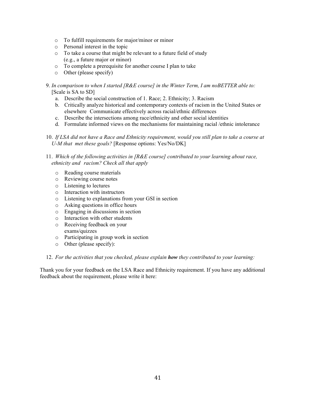- o To fulfill requirements for major/minor or minor
- o Personal interest in the topic
- o To take a course that might be relevant to a future field of study (e.g., a future major or minor)
- o To complete a prerequisite for another course I plan to take
- o Other (please specify)
- 9. *In comparison to when I started [R&E course] in the Winter Term, I am noBETTER able to:*  [Scale is SA to SD]
	- a. Describe the social construction of 1. Race; 2. Ethnicity; 3. Racism
	- b. Critically analyze historical and contemporary contexts of racism in the United States or elsewhere Communicate effectively across racial/ethnic differences
	- c. Describe the intersections among race/ethnicity and other social identities
	- d. Formulate informed views on the mechanisms for maintaining racial /ethnic intolerance

10. *If LSA did not have a Race and Ethnicity requirement, would you still plan to take a course at U-M that met these goals?* [Response options: Yes/No/DK]

11. *Which of the following activities in [R&E course] contributed to your learning about race, ethnicity and racism? Check all that apply*

- o Reading course materials
- o Reviewing course notes
- o Listening to lectures
- o Interaction with instructors
- o Listening to explanations from your GSI in section
- o Asking questions in office hours
- o Engaging in discussions in section
- o Interaction with other students
- o Receiving feedback on your exams/quizzes
- o Participating in group work in section
- o Other (please specify):

12. *For the activities that you checked, please explain how they contributed to your learning:*

Thank you for your feedback on the LSA Race and Ethnicity requirement. If you have any additional feedback about the requirement, please write it here: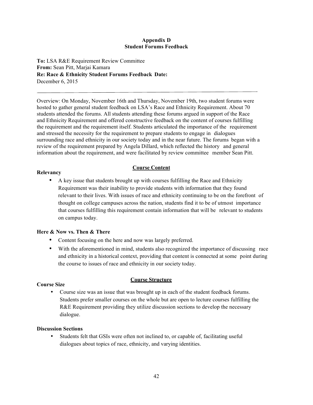#### **Appendix D Student Forums Feedback**

**To:** LSA R&E Requirement Review Committee **From:** Sean Pitt, Marjai Kamara **Re: Race & Ethnicity Student Forums Feedback Date:**  December 6, 2015

Overview: On Monday, November 16th and Thursday, November 19th, two student forums were hosted to gather general student feedback on LSA's Race and Ethnicity Requirement. About 70 students attended the forums. All students attending these forums argued in support of the Race and Ethnicity Requirement and offered constructive feedback on the content of courses fulfilling the requirement and the requirement itself. Students articulated the importance of the requirement and stressed the necessity for the requirement to prepare students to engage in dialogues surrounding race and ethnicity in our society today and in the near future. The forums began with a review of the requirement prepared by Angela Dillard, which reflected the history and general information about the requirement, and were facilitated by review committee member Sean Pitt.

#### **Course Content**

#### **Relevancy**

• A key issue that students brought up with courses fulfilling the Race and Ethnicity Requirement was their inability to provide students with information that they found relevant to their lives. With issues of race and ethnicity continuing to be on the forefront of thought on college campuses across the nation, students find it to be of utmost importance that courses fulfilling this requirement contain information that will be relevant to students on campus today.

#### **Here & Now vs. Then & There**

- Content focusing on the here and now was largely preferred.
- With the aforementioned in mind, students also recognized the importance of discussing race and ethnicity in a historical context, providing that content is connected at some point during the course to issues of race and ethnicity in our society today.

#### **Course Size**

#### **Course Structure**

• Course size was an issue that was brought up in each of the student feedback forums. Students prefer smaller courses on the whole but are open to lecture courses fulfilling the R&E Requirement providing they utilize discussion sections to develop the necessary dialogue.

#### **Discussion Sections**

Students felt that GSIs were often not inclined to, or capable of, facilitating useful dialogues about topics of race, ethnicity, and varying identities.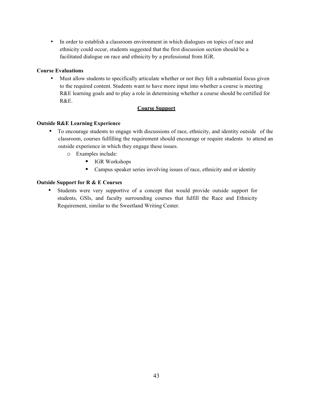• In order to establish a classroom environment in which dialogues on topics of race and ethnicity could occur, students suggested that the first discussion section should be a facilitated dialogue on race and ethnicity by a professional from IGR.

#### **Course Evaluations**

• Must allow students to specifically articulate whether or not they felt a substantial focus given to the required content. Students want to have more input into whether a course is meeting R&E learning goals and to play a role in determining whether a course should be certified for R&E.

#### **Course Support**

#### **Outside R&E Learning Experience**

- To encourage students to engage with discussions of race, ethnicity, and identity outside of the classroom, courses fulfilling the requirement should encourage or require students to attend an outside experience in which they engage these issues.
	- o Examples include:
		- IGR Workshops
		- Campus speaker series involving issues of race, ethnicity and or identity

#### **Outside Support for R & E Courses**

• Students were very supportive of a concept that would provide outside support for students, GSIs, and faculty surrounding courses that fulfill the Race and Ethnicity Requirement, similar to the Sweetland Writing Center.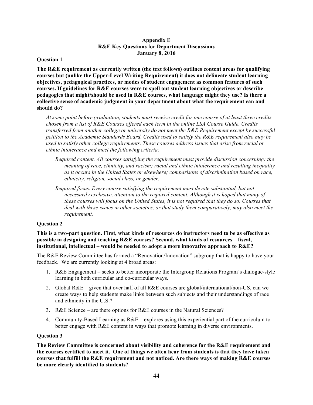#### **Appendix E R&E Key Questions for Department Discussions January 8, 2016**

#### **Question 1**

**The R&E requirement as currently written (the text follows) outlines content areas for qualifying courses but (unlike the Upper-Level Writing Requirement) it does not delineate student learning objectives, pedagogical practices, or modes of student engagement as common features of such courses. If guidelines for R&E courses were to spell out student learning objectives or describe pedagogies that might/should be used in R&E courses, what language might they use? Is there a collective sense of academic judgment in your department about what the requirement can and should do?**

*At some point before graduation, students must receive credit for one course of at least three credits chosen from a list of R&E Courses offered each term in the online LSA Course Guide. Credits transferred from another college or university do not meet the R&E Requirement except by successful petition to the Academic Standards Board. Credits used to satisfy the R&E requirement also may be used to satisfy other college requirements. These courses address issues that arise from racial or ethnic intolerance and meet the following criteria:*

- *Required content. All courses satisfying the requirement must provide discussion concerning: the meaning of race, ethnicity, and racism; racial and ethnic intolerance and resulting inequality as it occurs in the United States or elsewhere; comparisons of discrimination based on race, ethnicity, religion, social class, or gender.*
- *Required focus. Every course satisfying the requirement must devote substantial, but not necessarily exclusive, attention to the required content. Although it is hoped that many of these courses will focus on the United States, it is not required that they do so. Courses that deal with these issues in other societies, or that study them comparatively, may also meet the requirement.*

#### **Question 2**

**This is a two-part question. First, what kinds of resources do instructors need to be as effective as possible in designing and teaching R&E courses? Second, what kinds of resources – fiscal, institutional, intellectual – would be needed to adopt a more innovative approach to R&E?** 

The R&E Review Committee has formed a "Renovation/Innovation" subgroup that is happy to have your feedback. We are currently looking at 4 broad areas:

- 1. R&E Engagement seeks to better incorporate the Intergroup Relations Program's dialogue-style learning in both curricular and co-curricular ways.
- 2. Global  $R\&E$  given that over half of all  $R\&E$  courses are global/international/non-US, can we create ways to help students make links between such subjects and their understandings of race and ethnicity in the U.S.?
- 3. R&E Science are there options for R&E courses in the Natural Sciences?
- 4. Community-Based Learning as R&E explores using this experiential part of the curriculum to better engage with R&E content in ways that promote learning in diverse environments.

#### **Question 3**

**The Review Committee is concerned about visibility and coherence for the R&E requirement and the courses certified to meet it. One of things we often hear from students is that they have taken courses that fulfill the R&E requirement and not noticed. Are there ways of making R&E courses be more clearly identified to students**?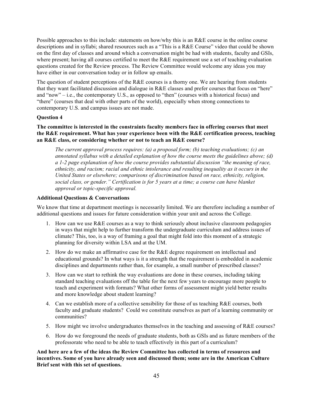Possible approaches to this include: statements on how/why this is an R&E course in the online course descriptions and in syllabi; shared resources such as a "This is a R&E Course" video that could be shown on the first day of classes and around which a conversation might be had with students, faculty and GSIs, where present; having all courses certified to meet the R&E requirement use a set of teaching evaluation questions created for the Review process. The Review Committee would welcome any ideas you may have either in our conversation today or in follow up emails.

The question of student perceptions of the R&E courses is a thorny one. We are hearing from students that they want facilitated discussion and dialogue in R&E classes and prefer courses that focus on "here" and "now" – i.e., the contemporary U.S., as opposed to "then" (courses with a historical focus) and "there" (courses that deal with other parts of the world), especially when strong connections to contemporary U.S. and campus issues are not made.

#### **Question 4**

#### **The committee is interested in the constraints faculty members face in offering courses that meet the R&E requirement. What has your experience been with the R&E certification process, teaching an R&E class, or considering whether or not to teach an R&E course?**

*The current approval process requires: (a) a proposal form; (b) teaching evaluations; (c) an annotated syllabus with a detailed explanation of how the course meets the guidelines above; (d) a 1-2 page explanation of how the course provides substantial discussion "the meaning of race, ethnicity, and racism; racial and ethnic intolerance and resulting inequality as it occurs in the United States or elsewhere; comparisons of discrimination based on race, ethnicity, religion, social class, or gender." Certification is for 5 years at a time; a course can have blanket approval or topic-specific approval.* 

#### **Additional Questions & Conversations**

We know that time at department meetings is necessarily limited. We are therefore including a number of additional questions and issues for future consideration within your unit and across the College*.*

- 1. How can we use R&E courses as a way to think seriously about inclusive classroom pedagogies in ways that might help to further transform the undergraduate curriculum and address issues of climate? This, too, is a way of framing a goal that might fold into this moment of a strategic planning for diversity within LSA and at the UM.
- 2. How do we make an affirmative case for the  $R\&E$  degree requirement on intellectual and educational grounds? In what ways is it a strength that the requirement is embedded in academic disciplines and departments rather than, for example, a small number of prescribed classes?
- 3. How can we start to rethink the way evaluations are done in these courses, including taking standard teaching evaluations off the table for the next few years to encourage more people to teach and experiment with formats? What other forms of assessment might yield better results and more knowledge about student learning?
- 4. Can we establish more of a collective sensibility for those of us teaching  $R\&E$  courses, both faculty and graduate students? Could we constitute ourselves as part of a learning community or communities?
- 5. How might we involve undergraduates themselves in the teaching and assessing of R&E courses?
- 6. How do we foreground the needs of graduate students, both as GSIs and as future members of the professorate who need to be able to teach effectively in this part of a curriculum?

**And here are a few of the ideas the Review Committee has collected in terms of resources and incentives. Some of you have already seen and discussed them; some are in the American Culture Brief sent with this set of questions.**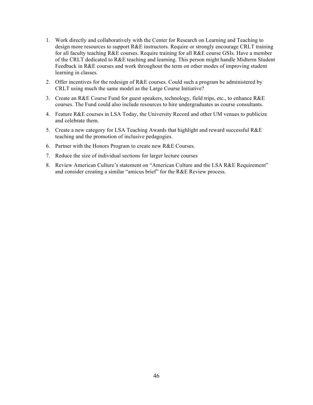- 1. Work directly and collaboratively with the Center for Research on Learning and Teaching to design more resources to support R&E instructors. Require or strongly encourage CRLT training for all faculty teaching R&E courses. Require training for all R&E course GSIs. Have a member of the CRLT dedicated to R&E teaching and learning. This person might handle Midterm Student Feedback in R&E courses and work throughout the term on other modes of improving student learning in classes.
- 2. Offer incentives for the redesign of  $RAE$  courses. Could such a program be administered by CRLT using much the same model as the Large Course Initiative?
- 3. Create an R&E Course Fund for guest speakers, technology, field trips, etc., to enhance R&E courses. The Fund could also include resources to hire undergraduates as course consultants.
- 4. Feature R&E courses in LSA Today, the University Record and other UM venues to publicize and celebrate them.
- 5. Create a new category for LSA Teaching Awards that highlight and reward successful R&E teaching and the promotion of inclusive pedagogies.
- 6. Partner with the Honors Program to create new R&E Courses.
- 7. Reduce the size of individual sections for larger lecture courses
- 8. Review American Culture's statement on "American Culture and the LSA R&E Requirement" and consider creating a similar "amicus brief" for the R&E Review process.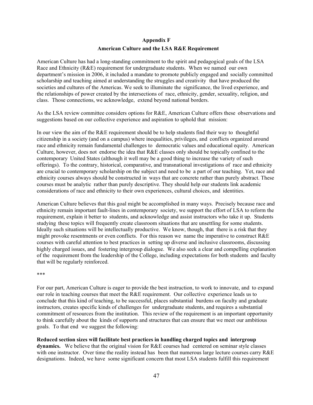#### **Appendix F**

#### **American Culture and the LSA R&E Requirement**

American Culture has had a long-standing commitment to the spirit and pedagogical goals of the LSA Race and Ethnicity (R&E) requirement for undergraduate students. When we named our own department's mission in 2006, it included a mandate to promote publicly engaged and socially committed scholarship and teaching aimed at understanding the struggles and creativity that have produced the societies and cultures of the Americas. We seek to illuminate the significance, the lived experience, and the relationships of power created by the intersections of race, ethnicity, gender, sexuality, religion, and class. Those connections, we acknowledge, extend beyond national borders.

As the LSA review committee considers options for R&E, American Culture offers these observations and suggestions based on our collective experience and aspiration to uphold that mission:

In our view the aim of the R&E requirement should be to help students find their way to thoughtful citizenship in a society (and on a campus) where inequalities, privileges, and conflicts organized around race and ethnicity remain fundamental challenges to democratic values and educational equity. American Culture, however, does not endorse the idea that R&E classes only should be topically confined to the contemporary United States (although it well may be a good thing to increase the variety of such offerings). To the contrary, historical, comparative, and transnational investigations of race and ethnicity are crucial to contemporary scholarship on the subject and need to be a part of our teaching. Yet, race and ethnicity courses always should be constructed in ways that are concrete rather than purely abstract. These courses must be analytic rather than purely descriptive. They should help our students link academic considerations of race and ethnicity to their own experiences, cultural choices, and identities.

American Culture believes that this goal might be accomplished in many ways. Precisely because race and ethnicity remain important fault-lines in contemporary society, we support the effort of LSA to reform the requirement, explain it better to students, and acknowledge and assist instructors who take it up. Students studying these topics will frequently create classroom situations that are unsettling for some students. Ideally such situations will be intellectually productive. We know, though, that there is a risk that they might provoke resentments or even conflicts. For this reason we name the imperative to construct R&E courses with careful attention to best practices in setting up diverse and inclusive classrooms, discussing highly charged issues, and fostering intergroup dialogue. We also seek a clear and compelling explanation of the requirement from the leadership of the College, including expectations for both students and faculty that will be regularly reinforced.

#### \*\*\*

For our part, American Culture is eager to provide the best instruction, to work to innovate, and to expand our role in teaching courses that meet the R&E requirement. Our collective experience leads us to conclude that this kind of teaching, to be successful, places substantial burdens on faculty and graduate instructors, creates specific kinds of challenges for undergraduate students, and requires a substantial commitment of resources from the institution. This review of the requirement is an important opportunity to think carefully about the kinds of supports and structures that can ensure that we meet our ambitious goals. To that end we suggest the following:

**Reduced section sizes will facilitate best practices in handling charged topics and intergroup dynamics.** We believe that the original vision for R&E courses had centered on seminar style classes with one instructor. Over time the reality instead has been that numerous large lecture courses carry R&E designations. Indeed, we have some significant concern that most LSA students fulfill this requirement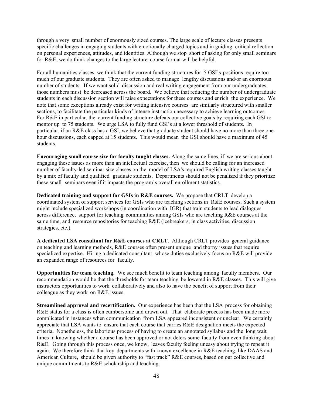through a very small number of enormously sized courses. The large scale of lecture classes presents specific challenges in engaging students with emotionally charged topics and in guiding critical reflection on personal experiences, attitudes, and identities. Although we stop short of asking for only small seminars for R&E, we do think changes to the large lecture course format will be helpful.

For all humanities classes, we think that the current funding structures for .5 GSI's positions require too much of our graduate students. They are often asked to manage lengthy discussions and/or an enormous number of students. If we want solid discussion and real writing engagement from our undergraduates, those numbers must be decreased across the board. We believe that reducing the number of undergraduate students in each discussion section will raise expectations for these courses and enrich the experience. We note that some exceptions already exist for writing intensive courses are similarly structured with smaller sections, to facilitate the particular kinds of intense instruction necessary to achieve learning outcomes. For R&E in particular, the current funding structure defeats our collective goals by requiring each GSI to mentor up to 75 students. We urge LSA to fully fund GSI's at a lower threshold of students. In particular, if an R&E class has a GSI, we believe that graduate student should have no more than three onehour discussions, each capped at 15 students. This would mean the GSI should have a maximum of 45 students.

**Encouraging small course size for faculty taught classes.** Along the same lines, if we are serious about engaging these issues as more than an intellectual exercise, then we should be calling for an increased number of faculty-led seminar size classes on the model of LSA's required English writing classes taught by a mix of faculty and qualified graduate students. Departments should not be penalized if they prioritize these small seminars even if it impacts the program's overall enrollment statistics.

**Dedicated training and support for GSIs in R&E courses.** We propose that CRLT develop a coordinated system of support services for GSIs who are teaching sections in R&E courses. Such a system might include specialized workshops (in coordination with IGR) that train students to lead dialogues across difference, support for teaching communities among GSIs who are teaching R&E courses at the same time, and resource repositories for teaching R&E (icebreakers, in class activities, discussion strategies, etc.).

**A dedicated LSA consultant for R&E courses at CRLT**. Although CRLT provides general guidance on teaching and learning methods, R&E courses often present unique and thorny issues that require specialized expertise. Hiring a dedicated consultant whose duties exclusively focus on R&E will provide an expanded range of resources for faculty.

**Opportunities for team teaching.** We see much benefit to team teaching among faculty members. Our recommendation would be that the thresholds for team teaching be lowered in R&E classes. This will give instructors opportunities to work collaboratively and also to have the benefit of support from their colleague as they work on R&E issues.

**Streamlined approval and recertification.** Our experience has been that the LSA process for obtaining R&E status for a class is often cumbersome and drawn out. That elaborate process has been made more complicated in instances when communication from LSA appeared inconsistent or unclear. We certainly appreciate that LSA wants to ensure that each course that carries R&E designation meets the expected criteria. Nonetheless, the laborious process of having to create an annotated syllabus and the long wait times in knowing whether a course has been approved or not deters some faculty from even thinking about R&E. Going through this process once, we know, leaves faculty feeling uneasy about trying to repeat it again. We therefore think that key departments with known excellence in R&E teaching, like DAAS and American Culture, should be given authority to "fast track" R&E courses, based on our collective and unique commitments to R&E scholarship and teaching.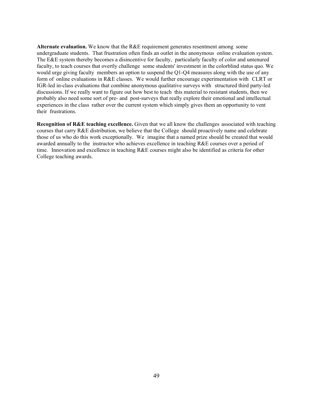**Alternate evaluation.** We know that the R&E requirement generates resentment among some undergraduate students. That frustration often finds an outlet in the anonymous online evaluation system. The E&E system thereby becomes a disincentive for faculty, particularly faculty of color and untenured faculty, to teach courses that overtly challenge some students' investment in the colorblind status quo. We would urge giving faculty members an option to suspend the Q1-Q4 measures along with the use of any form of online evaluations in R&E classes. We would further encourage experimentation with CLRT or IGR-led in-class evaluations that combine anonymous qualitative surveys with structured third party-led discussions. If we really want to figure out how best to teach this material to resistant students, then we probably also need some sort of pre- and post-surveys that really explore their emotional and intellectual experiences in the class rather over the current system which simply gives them an opportunity to vent their frustrations.

**Recognition of R&E teaching excellence.** Given that we all know the challenges associated with teaching courses that carry R&E distribution, we believe that the College should proactively name and celebrate those of us who do this work exceptionally. We imagine that a named prize should be created that would awarded annually to the instructor who achieves excellence in teaching R&E courses over a period of time. Innovation and excellence in teaching R&E courses might also be identified as criteria for other College teaching awards.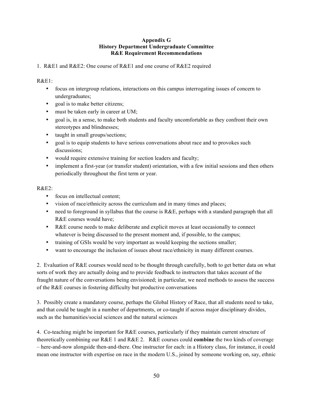#### **Appendix G History Department Undergraduate Committee R&E Requirement Recommendations**

#### 1. R&E1 and R&E2: One course of R&E1 and one course of R&E2 required

#### R&E1:

- focus on intergroup relations, interactions on this campus interrogating issues of concern to undergraduates;
- goal is to make better citizens;
- must be taken early in career at UM;
- goal is, in a sense, to make both students and faculty uncomfortable as they confront their own stereotypes and blindnesses;
- taught in small groups/sections;
- goal is to equip students to have serious conversations about race and to provokes such discussions;
- would require extensive training for section leaders and faculty;
- implement a first-year (or transfer student) orientation, with a few initial sessions and then others periodically throughout the first term or year.

#### R&E2:

- focus on intellectual content:
- vision of race/ethnicity across the curriculum and in many times and places;
- need to foreground in syllabus that the course is  $R&E$ , perhaps with a standard paragraph that all R&E courses would have;
- R&E course needs to make deliberate and explicit moves at least occasionally to connect whatever is being discussed to the present moment and, if possible, to the campus;
- training of GSIs would be very important as would keeping the sections smaller;
- want to encourage the inclusion of issues about race/ethnicity in many different courses.

2. Evaluation of R&E courses would need to be thought through carefully, both to get better data on what sorts of work they are actually doing and to provide feedback to instructors that takes account of the fraught nature of the conversations being envisioned; in particular, we need methods to assess the success of the R&E courses in fostering difficulty but productive conversations

3. Possibly create a mandatory course, perhaps the Global History of Race, that all students need to take, and that could be taught in a number of departments, or co-taught if across major disciplinary divides, such as the humanities/social sciences and the natural sciences

4. Co-teaching might be important for R&E courses, particularly if they maintain current structure of theoretically combining our R&E 1 and R&E 2. R&E courses could **combine** the two kinds of coverage – here-and-now alongside then-and-there. One instructor for each: in a History class, for instance, it could mean one instructor with expertise on race in the modern U.S., joined by someone working on, say, ethnic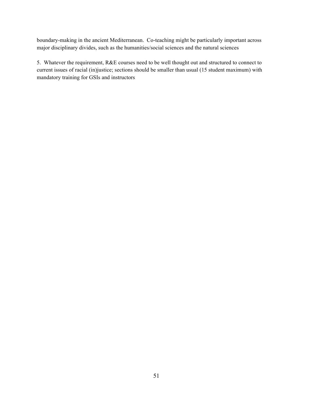boundary-making in the ancient Mediterranean. Co-teaching might be particularly important across major disciplinary divides, such as the humanities/social sciences and the natural sciences

5. Whatever the requirement, R&E courses need to be well thought out and structured to connect to current issues of racial (in)justice; sections should be smaller than usual (15 student maximum) with mandatory training for GSIs and instructors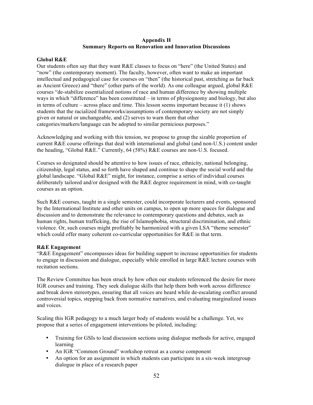#### **Appendix H Summary Reports on Renovation and Innovation Discussions**

#### **Global R&E**

Our students often say that they want R&E classes to focus on "here" (the United States) and "now" (the contemporary moment). The faculty, however, often want to make an important intellectual and pedagogical case for courses on "then" (the historical past, stretching as far back as Ancient Greece) and "there" (other parts of the world). As one colleague argued, global R&E courses "de-stabilize essentialized notions of race and human difference by showing multiple ways in which "difference" has been constituted – in terms of physiognomy and biology, but also in terms of culture – across place and time. This lesson seems important because it (1) shows students that the racialized frameworks/assumptions of contemporary society are not simply given or natural or unchangeable, and (2) serves to warn them that other categories/markers/language can be adopted to similar pernicious purposes."

Acknowledging and working with this tension, we propose to group the sizable proportion of current R&E course offerings that deal with international and global (and non-U.S.) content under the heading, "Global R&E." Currently, 64 (58%) R&E courses are non-U.S. focused.

Courses so designated should be attentive to how issues of race, ethnicity, national belonging, citizenship, legal status, and so forth have shaped and continue to shape the social world and the global landscape. "Global R&E" might, for instance, comprise a series of individual courses deliberately tailored and/or designed with the R&E degree requirement in mind, with co-taught courses as an option.

Such R&E courses, taught in a single semester, could incorporate lecturers and events, sponsored by the International Institute and other units on campus, to open up more spaces for dialogue and discussion and to demonstrate the relevance to contemporary questions and debates, such as human rights, human trafficking, the rise of Islamophobia, structural discrimination, and ethnic violence. Or, such courses might profitably be harmonized with a given LSA "theme semester" which could offer many coherent co-curricular opportunities for R&E in that term.

#### **R&E Engagement**

"R&E Engagement" encompasses ideas for building support to increase opportunities for students to engage in discussion and dialogue, especially while enrolled in large R&E lecture courses with recitation sections.

The Review Committee has been struck by how often our students referenced the desire for more IGR courses and training. They seek dialogue skills that help them both work across difference and break down stereotypes, ensuring that all voices are heard while de-escalating conflict around controversial topics, stepping back from normative narratives, and evaluating marginalized issues and voices.

Scaling this IGR pedagogy to a much larger body of students would be a challenge. Yet, we propose that a series of engagement interventions be piloted, including:

- Training for GSIs to lead discussion sections using dialogue methods for active, engaged learning
- An IGR "Common Ground" workshop retreat as a course component
- An option for an assignment in which students can participate in a six-week intergroup dialogue in place of a research paper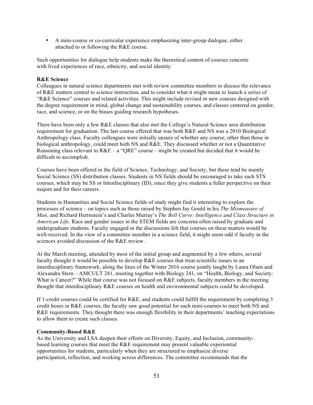• A mini-course or co-curricular experience emphasizing inter-group dialogue, either attached to or following the R&E course.

Such opportunities for dialogue help students make the theoretical content of courses concrete with lived experiences of race, ethnicity, and social identity.

#### **R&E Science**

Colleagues in natural science departments met with review committee members to discuss the relevance of R&E matters central to science instruction, and to consider what it might mean to launch a series of "R&E Science" courses and related activities. This might include revised or new courses designed with the degree requirement in mind, global change and sustainability courses, and classes centered on gender, race, and science, or on the biases guiding research hypotheses.

There have been only a few R&E classes that also met the College's Natural Science area distribution requirement for graduation. The last course offered that was both R&E and NS was a 2010 Biological Anthropology class. Faculty colleagues were initially unsure of whether any course, other than those in biological anthropology, could meet both NS and R&E. They discussed whether or not a Quantitative Reasoning class relevant to  $R\&E - a$  "ORE" course – might be created but decided that it would be difficult to accomplish.

Courses have been offered in the field of Science, Technology, and Society, but these tend be mainly Social Science (SS) distribution classes. Students in NS fields should be encouraged to take such STS courses, which may be SS or Interdisciplinary (ID), since they give students a fuller perspective on their majors and for their careers.

Students in Humanities and Social Science fields of study might find it interesting to explore the processes of science – on topics such as those raised by Stephen Jay Gould in his *The Mismeasure of Man*, and Richard Herrnstein's and Charles Murray's *The Bell Curve: Intelligence and Class Structure in American Life*. Race and gender issues in the STEM fields are concerns often raised by graduate and undergraduate students. Faculty engaged in the discussions felt that courses on these matters would be well-received. In the view of a committee member in a science field, it might seem odd if faculty in the sciences avoided discussion of the R&E review.

At the March meeting, attended by most of the initial group and augmented by a few others, several faculty thought it would be possible to develop R&E courses that treat scientific issues in an interdisciplinary framework, along the lines of the Winter 2016 course jointly taught by Laura Olsen and Alexandra Stern – AMCULT 241, meeting together with Biology 241, on "Health, Biology, and Society: What is Cancer?" While that course was not focused on R&E subjects, faculty members in the meeting thought that interdisciplinary R&E courses on health and environmental subjects could be developed.

If 1-credit courses could be certified for R&E, and students could fulfill the requirement by completing 3 credit hours in R&E courses, the faculty saw good potential for such mini-courses to meet both NS and R&E requirements. They thought there was enough flexibility in their departments' teaching expectations to allow them to create such classes.

#### **Community-Based R&E**

As the University and LSA deepen their efforts on Diversity, Equity, and Inclusion, communitybased learning courses that meet the R&E requirement may present valuable experiential opportunities for students, particularly when they are structured to emphasize diverse participation, reflection, and working across differences. The committee recommends that the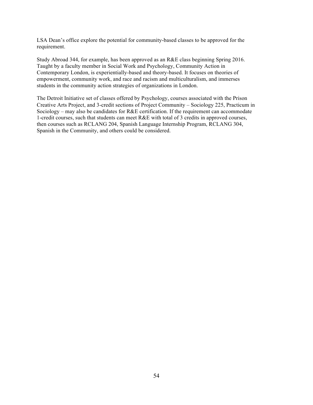LSA Dean's office explore the potential for community-based classes to be approved for the requirement.

Study Abroad 344, for example, has been approved as an R&E class beginning Spring 2016. Taught by a faculty member in Social Work and Psychology, Community Action in Contemporary London, is experientially-based and theory-based. It focuses on theories of empowerment, community work, and race and racism and multiculturalism, and immerses students in the community action strategies of organizations in London.

The Detroit Initiative set of classes offered by Psychology, courses associated with the Prison Creative Arts Project, and 3-credit sections of Project Community – Sociology 225, Practicum in Sociology – may also be candidates for R&E certification. If the requirement can accommodate 1-credit courses, such that students can meet R&E with total of 3 credits in approved courses, then courses such as RCLANG 204, Spanish Language Internship Program, RCLANG 304, Spanish in the Community, and others could be considered.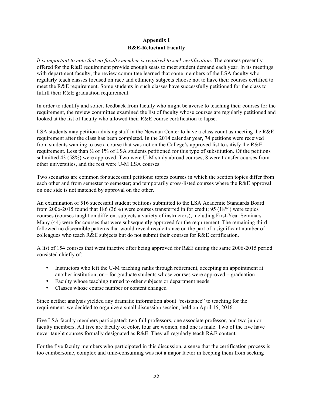#### **Appendix I R&E-Reluctant Faculty**

*It is important to note that no faculty member is required to seek certification*. The courses presently offered for the R&E requirement provide enough seats to meet student demand each year. In its meetings with department faculty, the review committee learned that some members of the LSA faculty who regularly teach classes focused on race and ethnicity subjects choose not to have their courses certified to meet the R&E requirement. Some students in such classes have successfully petitioned for the class to fulfill their R&E graduation requirement.

In order to identify and solicit feedback from faculty who might be averse to teaching their courses for the requirement, the review committee examined the list of faculty whose courses are regularly petitioned and looked at the list of faculty who allowed their R&E course certification to lapse.

LSA students may petition advising staff in the Newnan Center to have a class count as meeting the R&E requirement after the class has been completed. In the 2014 calendar year, 74 petitions were received from students wanting to use a course that was not on the College's approved list to satisfy the R&E requirement. Less than ½ of 1% of LSA students petitioned for this type of substitution. Of the petitions submitted 43 (58%) were approved. Two were U-M study abroad courses, 8 were transfer courses from other universities, and the rest were U-M LSA courses.

Two scenarios are common for successful petitions: topics courses in which the section topics differ from each other and from semester to semester; and temporarily cross-listed courses where the R&E approval on one side is not matched by approval on the other.

An examination of 516 successful student petitions submitted to the LSA Academic Standards Board from 2006-2015 found that 186 (36%) were courses transferred in for credit; 95 (18%) were topics courses (courses taught on different subjects a variety of instructors), including First-Year Seminars. Many (44) were for courses that were subsequently approved for the requirement. The remaining third followed no discernible patterns that would reveal recalcitrance on the part of a significant number of colleagues who teach R&E subjects but do not submit their courses for R&E certification.

A list of 154 courses that went inactive after being approved for R&E during the same 2006-2015 period consisted chiefly of:

- Instructors who left the U-M teaching ranks through retirement, accepting an appointment at another institution, or  $-$  for graduate students whose courses were approved  $-$  graduation
- Faculty whose teaching turned to other subjects or department needs
- Classes whose course number or content changed

Since neither analysis yielded any dramatic information about "resistance" to teaching for the requirement, we decided to organize a small discussion session, held on April 15, 2016.

Five LSA faculty members participated: two full professors, one associate professor, and two junior faculty members. All five are faculty of color, four are women, and one is male. Two of the five have never taught courses formally designated as R&E. They all regularly teach R&E content.

For the five faculty members who participated in this discussion, a sense that the certification process is too cumbersome, complex and time-consuming was not a major factor in keeping them from seeking